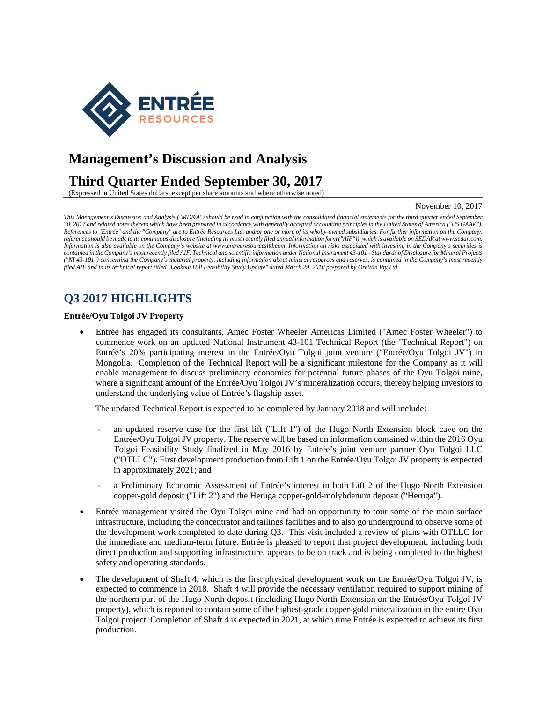

# **Management's Discussion and Analysis**

# **Third Quarter Ended September 30, 2017**

(Expressed in United States dollars, except per share amounts and where otherwise noted)

#### November 10, 2017

*This Management's Discussion and Analysis ("MD&A") should be read in conjunction with the consolidated financial statements for the third quarter ended September 30, 2017 and related notes thereto which have been prepared in accordance with generally accepted accounting principles in the United States of America ("US GAAP"). References to "Entrée" and the "Company" are to Entrée Resources Ltd. and/or one or more of its wholly-owned subsidiaries. For further information on the Company, reference should be made to its continuous disclosure (including its most recently filed annual information form ("AIF")), which is available on SEDAR at www.sedar.com. Information is also available on the Company's website at www.entreeresourcesltd.com. Information on risks associated with investing in the Company's securities is contained in the Company's most recently filed AIF. Technical and scientific information under National Instrument 43-101 - Standards of Disclosure for Mineral Projects ("NI 43-101") concerning the Company's material property, including information about mineral resources and reserves, is contained in the Company's most recently filed AIF and in its technical report titled "Lookout Hill Feasibility Study Update" dated March 29, 2016 prepared by OreWin Pty Ltd.* 

## **Q3 2017 HIGHLIGHTS**

#### **Entrée/Oyu Tolgoi JV Property**

 Entrée has engaged its consultants, Amec Foster Wheeler Americas Limited ("Amec Foster Wheeler") to commence work on an updated National Instrument 43-101 Technical Report (the "Technical Report") on Entrée's 20% participating interest in the Entrée/Oyu Tolgoi joint venture ("Entrée/Oyu Tolgoi JV") in Mongolia. Completion of the Technical Report will be a significant milestone for the Company as it will enable management to discuss preliminary economics for potential future phases of the Oyu Tolgoi mine, where a significant amount of the Entrée/Oyu Tolgoi JV's mineralization occurs, thereby helping investors to understand the underlying value of Entrée's flagship asset.

The updated Technical Report is expected to be completed by January 2018 and will include:

- an updated reserve case for the first lift ("Lift 1") of the Hugo North Extension block cave on the Entrée/Oyu Tolgoi JV property. The reserve will be based on information contained within the 2016 Oyu Tolgoi Feasibility Study finalized in May 2016 by Entrée's joint venture partner Oyu Tolgoi LLC ("OTLLC"). First development production from Lift 1 on the Entrée/Oyu Tolgoi JV property is expected in approximately 2021; and
- a Preliminary Economic Assessment of Entrée's interest in both Lift 2 of the Hugo North Extension copper-gold deposit ("Lift 2") and the Heruga copper-gold-molybdenum deposit ("Heruga").
- Entrée management visited the Oyu Tolgoi mine and had an opportunity to tour some of the main surface infrastructure, including the concentrator and tailings facilities and to also go underground to observe some of the development work completed to date during Q3. This visit included a review of plans with OTLLC for the immediate and medium-term future. Entrée is pleased to report that project development, including both direct production and supporting infrastructure, appears to be on track and is being completed to the highest safety and operating standards.
- The development of Shaft 4, which is the first physical development work on the Entrée/Oyu Tolgoi JV, is expected to commence in 2018. Shaft 4 will provide the necessary ventilation required to support mining of the northern part of the Hugo North deposit (including Hugo North Extension on the Entrée/Oyu Tolgoi JV property), which is reported to contain some of the highest-grade copper-gold mineralization in the entire Oyu Tolgoi project. Completion of Shaft 4 is expected in 2021, at which time Entrée is expected to achieve its first production.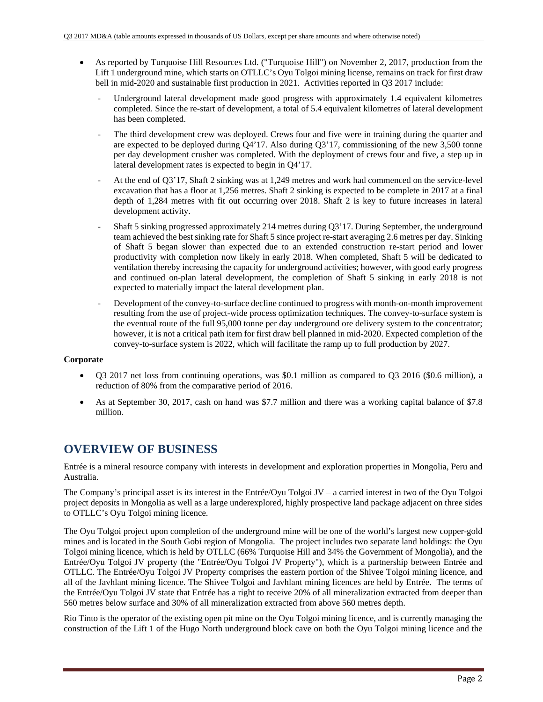- As reported by Turquoise Hill Resources Ltd. ("Turquoise Hill") on November 2, 2017, production from the Lift 1 underground mine, which starts on OTLLC's Oyu Tolgoi mining license, remains on track for first draw bell in mid-2020 and sustainable first production in 2021. Activities reported in Q3 2017 include:
	- Underground lateral development made good progress with approximately 1.4 equivalent kilometres completed. Since the re-start of development, a total of 5.4 equivalent kilometres of lateral development has been completed.
	- The third development crew was deployed. Crews four and five were in training during the quarter and are expected to be deployed during Q4'17. Also during Q3'17, commissioning of the new 3,500 tonne per day development crusher was completed. With the deployment of crews four and five, a step up in lateral development rates is expected to begin in Q4'17.
	- At the end of Q3'17, Shaft 2 sinking was at 1,249 metres and work had commenced on the service-level excavation that has a floor at 1,256 metres. Shaft 2 sinking is expected to be complete in 2017 at a final depth of 1,284 metres with fit out occurring over 2018. Shaft 2 is key to future increases in lateral development activity.
	- Shaft 5 sinking progressed approximately 214 metres during Q3'17. During September, the underground team achieved the best sinking rate for Shaft 5 since project re-start averaging 2.6 metres per day. Sinking of Shaft 5 began slower than expected due to an extended construction re-start period and lower productivity with completion now likely in early 2018. When completed, Shaft 5 will be dedicated to ventilation thereby increasing the capacity for underground activities; however, with good early progress and continued on-plan lateral development, the completion of Shaft 5 sinking in early 2018 is not expected to materially impact the lateral development plan.
	- Development of the convey-to-surface decline continued to progress with month-on-month improvement resulting from the use of project-wide process optimization techniques. The convey-to-surface system is the eventual route of the full 95,000 tonne per day underground ore delivery system to the concentrator; however, it is not a critical path item for first draw bell planned in mid-2020. Expected completion of the convey-to-surface system is 2022, which will facilitate the ramp up to full production by 2027.

#### **Corporate**

- Q3 2017 net loss from continuing operations, was \$0.1 million as compared to Q3 2016 (\$0.6 million), a reduction of 80% from the comparative period of 2016.
- As at September 30, 2017, cash on hand was \$7.7 million and there was a working capital balance of \$7.8 million.

### **OVERVIEW OF BUSINESS**

Entrée is a mineral resource company with interests in development and exploration properties in Mongolia, Peru and Australia.

The Company's principal asset is its interest in the Entrée/Oyu Tolgoi JV – a carried interest in two of the Oyu Tolgoi project deposits in Mongolia as well as a large underexplored, highly prospective land package adjacent on three sides to OTLLC's Oyu Tolgoi mining licence.

The Oyu Tolgoi project upon completion of the underground mine will be one of the world's largest new copper-gold mines and is located in the South Gobi region of Mongolia. The project includes two separate land holdings: the Oyu Tolgoi mining licence, which is held by OTLLC (66% Turquoise Hill and 34% the Government of Mongolia), and the Entrée/Oyu Tolgoi JV property (the "Entrée/Oyu Tolgoi JV Property"), which is a partnership between Entrée and OTLLC. The Entrée/Oyu Tolgoi JV Property comprises the eastern portion of the Shivee Tolgoi mining licence, and all of the Javhlant mining licence. The Shivee Tolgoi and Javhlant mining licences are held by Entrée. The terms of the Entrée/Oyu Tolgoi JV state that Entrée has a right to receive 20% of all mineralization extracted from deeper than 560 metres below surface and 30% of all mineralization extracted from above 560 metres depth.

Rio Tinto is the operator of the existing open pit mine on the Oyu Tolgoi mining licence, and is currently managing the construction of the Lift 1 of the Hugo North underground block cave on both the Oyu Tolgoi mining licence and the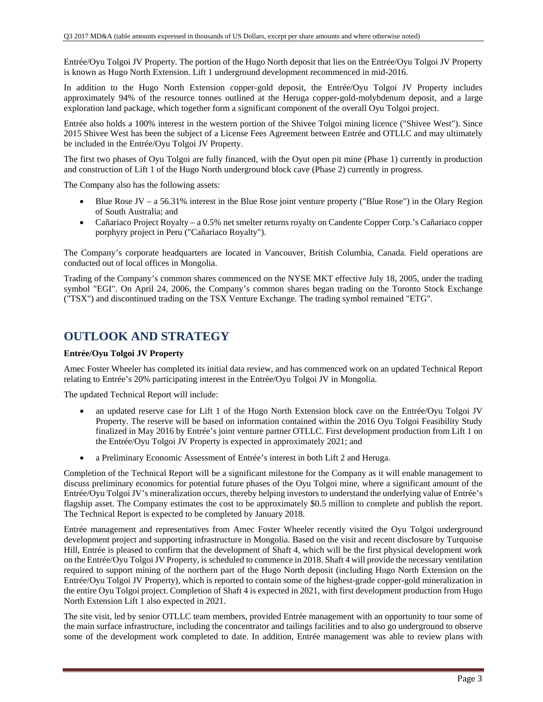Entrée/Oyu Tolgoi JV Property. The portion of the Hugo North deposit that lies on the Entrée/Oyu Tolgoi JV Property is known as Hugo North Extension. Lift 1 underground development recommenced in mid-2016.

In addition to the Hugo North Extension copper-gold deposit, the Entrée/Oyu Tolgoi JV Property includes approximately 94% of the resource tonnes outlined at the Heruga copper-gold-molybdenum deposit, and a large exploration land package, which together form a significant component of the overall Oyu Tolgoi project.

Entrée also holds a 100% interest in the western portion of the Shivee Tolgoi mining licence ("Shivee West"). Since 2015 Shivee West has been the subject of a License Fees Agreement between Entrée and OTLLC and may ultimately be included in the Entrée/Oyu Tolgoi JV Property.

The first two phases of Oyu Tolgoi are fully financed, with the Oyut open pit mine (Phase 1) currently in production and construction of Lift 1 of the Hugo North underground block cave (Phase 2) currently in progress.

The Company also has the following assets:

- Blue Rose JV a 56.31% interest in the Blue Rose joint venture property ("Blue Rose") in the Olary Region of South Australia; and
- Cañariaco Project Royalty a 0.5% net smelter returns royalty on Candente Copper Corp.'s Cañariaco copper porphyry project in Peru ("Cañariaco Royalty").

The Company's corporate headquarters are located in Vancouver, British Columbia, Canada. Field operations are conducted out of local offices in Mongolia.

Trading of the Company's common shares commenced on the NYSE MKT effective July 18, 2005, under the trading symbol "EGI". On April 24, 2006, the Company's common shares began trading on the Toronto Stock Exchange ("TSX") and discontinued trading on the TSX Venture Exchange. The trading symbol remained "ETG".

### **OUTLOOK AND STRATEGY**

#### **Entrée/Oyu Tolgoi JV Property**

Amec Foster Wheeler has completed its initial data review, and has commenced work on an updated Technical Report relating to Entrée's 20% participating interest in the Entrée/Oyu Tolgoi JV in Mongolia.

The updated Technical Report will include:

- an updated reserve case for Lift 1 of the Hugo North Extension block cave on the Entrée/Oyu Tolgoi JV Property. The reserve will be based on information contained within the 2016 Oyu Tolgoi Feasibility Study finalized in May 2016 by Entrée's joint venture partner OTLLC. First development production from Lift 1 on the Entrée/Oyu Tolgoi JV Property is expected in approximately 2021; and
- a Preliminary Economic Assessment of Entrée's interest in both Lift 2 and Heruga.

Completion of the Technical Report will be a significant milestone for the Company as it will enable management to discuss preliminary economics for potential future phases of the Oyu Tolgoi mine, where a significant amount of the Entrée/Oyu Tolgoi JV's mineralization occurs, thereby helping investors to understand the underlying value of Entrée's flagship asset. The Company estimates the cost to be approximately \$0.5 million to complete and publish the report. The Technical Report is expected to be completed by January 2018.

Entrée management and representatives from Amec Foster Wheeler recently visited the Oyu Tolgoi underground development project and supporting infrastructure in Mongolia. Based on the visit and recent disclosure by Turquoise Hill, Entrée is pleased to confirm that the development of Shaft 4, which will be the first physical development work on the Entrée/Oyu Tolgoi JV Property, is scheduled to commence in 2018. Shaft 4 will provide the necessary ventilation required to support mining of the northern part of the Hugo North deposit (including Hugo North Extension on the Entrée/Oyu Tolgoi JV Property), which is reported to contain some of the highest-grade copper-gold mineralization in the entire Oyu Tolgoi project. Completion of Shaft 4 is expected in 2021, with first development production from Hugo North Extension Lift 1 also expected in 2021.

The site visit, led by senior OTLLC team members, provided Entrée management with an opportunity to tour some of the main surface infrastructure, including the concentrator and tailings facilities and to also go underground to observe some of the development work completed to date. In addition, Entrée management was able to review plans with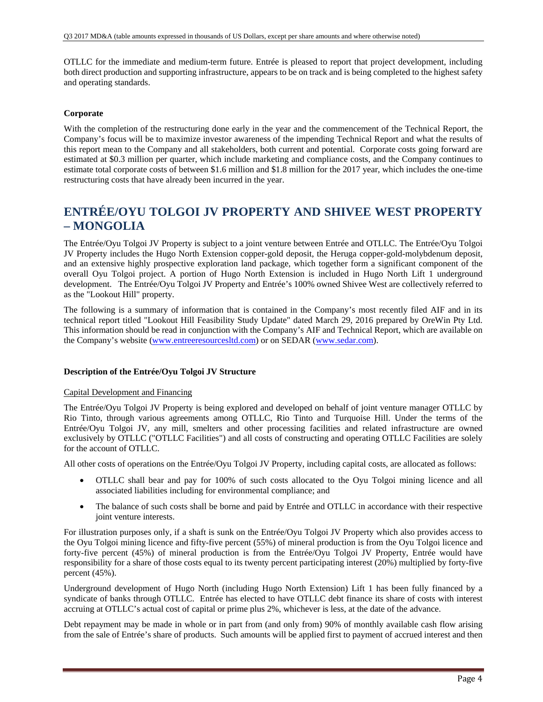OTLLC for the immediate and medium-term future. Entrée is pleased to report that project development, including both direct production and supporting infrastructure, appears to be on track and is being completed to the highest safety and operating standards.

### **Corporate**

With the completion of the restructuring done early in the year and the commencement of the Technical Report, the Company's focus will be to maximize investor awareness of the impending Technical Report and what the results of this report mean to the Company and all stakeholders, both current and potential. Corporate costs going forward are estimated at \$0.3 million per quarter, which include marketing and compliance costs, and the Company continues to estimate total corporate costs of between \$1.6 million and \$1.8 million for the 2017 year, which includes the one-time restructuring costs that have already been incurred in the year.

### **ENTRÉE/OYU TOLGOI JV PROPERTY AND SHIVEE WEST PROPERTY – MONGOLIA**

The Entrée/Oyu Tolgoi JV Property is subject to a joint venture between Entrée and OTLLC. The Entrée/Oyu Tolgoi JV Property includes the Hugo North Extension copper-gold deposit, the Heruga copper-gold-molybdenum deposit, and an extensive highly prospective exploration land package, which together form a significant component of the overall Oyu Tolgoi project. A portion of Hugo North Extension is included in Hugo North Lift 1 underground development. The Entrée/Oyu Tolgoi JV Property and Entrée's 100% owned Shivee West are collectively referred to as the "Lookout Hill" property.

The following is a summary of information that is contained in the Company's most recently filed AIF and in its technical report titled "Lookout Hill Feasibility Study Update" dated March 29, 2016 prepared by OreWin Pty Ltd. This information should be read in conjunction with the Company's AIF and Technical Report, which are available on the Company's website (www.entreeresourcesltd.com) or on SEDAR (www.sedar.com).

#### **Description of the Entrée/Oyu Tolgoi JV Structure**

#### Capital Development and Financing

The Entrée/Oyu Tolgoi JV Property is being explored and developed on behalf of joint venture manager OTLLC by Rio Tinto, through various agreements among OTLLC, Rio Tinto and Turquoise Hill. Under the terms of the Entrée/Oyu Tolgoi JV, any mill, smelters and other processing facilities and related infrastructure are owned exclusively by OTLLC ("OTLLC Facilities") and all costs of constructing and operating OTLLC Facilities are solely for the account of OTLLC.

All other costs of operations on the Entrée/Oyu Tolgoi JV Property, including capital costs, are allocated as follows:

- OTLLC shall bear and pay for 100% of such costs allocated to the Oyu Tolgoi mining licence and all associated liabilities including for environmental compliance; and
- The balance of such costs shall be borne and paid by Entrée and OTLLC in accordance with their respective joint venture interests.

For illustration purposes only, if a shaft is sunk on the Entrée/Oyu Tolgoi JV Property which also provides access to the Oyu Tolgoi mining licence and fifty-five percent (55%) of mineral production is from the Oyu Tolgoi licence and forty-five percent (45%) of mineral production is from the Entrée/Oyu Tolgoi JV Property, Entrée would have responsibility for a share of those costs equal to its twenty percent participating interest (20%) multiplied by forty-five percent (45%).

Underground development of Hugo North (including Hugo North Extension) Lift 1 has been fully financed by a syndicate of banks through OTLLC. Entrée has elected to have OTLLC debt finance its share of costs with interest accruing at OTLLC's actual cost of capital or prime plus 2%, whichever is less, at the date of the advance.

Debt repayment may be made in whole or in part from (and only from) 90% of monthly available cash flow arising from the sale of Entrée's share of products. Such amounts will be applied first to payment of accrued interest and then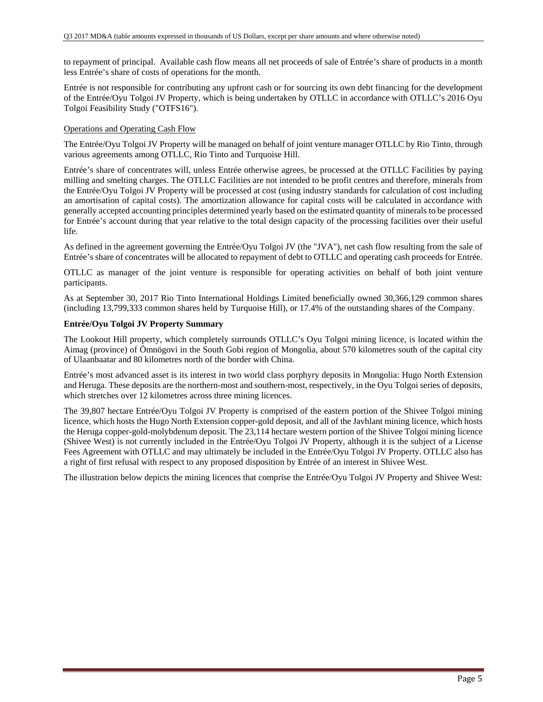to repayment of principal. Available cash flow means all net proceeds of sale of Entrée's share of products in a month less Entrée's share of costs of operations for the month.

Entrée is not responsible for contributing any upfront cash or for sourcing its own debt financing for the development of the Entrée/Oyu Tolgoi JV Property, which is being undertaken by OTLLC in accordance with OTLLC's 2016 Oyu Tolgoi Feasibility Study ("OTFS16").

#### Operations and Operating Cash Flow

The Entrée/Oyu Tolgoi JV Property will be managed on behalf of joint venture manager OTLLC by Rio Tinto, through various agreements among OTLLC, Rio Tinto and Turquoise Hill.

Entrée's share of concentrates will, unless Entrée otherwise agrees, be processed at the OTLLC Facilities by paying milling and smelting charges. The OTLLC Facilities are not intended to be profit centres and therefore, minerals from the Entrée/Oyu Tolgoi JV Property will be processed at cost (using industry standards for calculation of cost including an amortisation of capital costs). The amortization allowance for capital costs will be calculated in accordance with generally accepted accounting principles determined yearly based on the estimated quantity of minerals to be processed for Entrée's account during that year relative to the total design capacity of the processing facilities over their useful life.

As defined in the agreement governing the Entrée/Oyu Tolgoi JV (the "JVA"), net cash flow resulting from the sale of Entrée's share of concentrates will be allocated to repayment of debt to OTLLC and operating cash proceeds for Entrée.

OTLLC as manager of the joint venture is responsible for operating activities on behalf of both joint venture participants.

As at September 30, 2017 Rio Tinto International Holdings Limited beneficially owned 30,366,129 common shares (including 13,799,333 common shares held by Turquoise Hill), or 17.4% of the outstanding shares of the Company.

#### **Entrée/Oyu Tolgoi JV Property Summary**

The Lookout Hill property, which completely surrounds OTLLC's Oyu Tolgoi mining licence, is located within the Aimag (province) of Ömnögovi in the South Gobi region of Mongolia, about 570 kilometres south of the capital city of Ulaanbaatar and 80 kilometres north of the border with China.

Entrée's most advanced asset is its interest in two world class porphyry deposits in Mongolia: Hugo North Extension and Heruga. These deposits are the northern-most and southern-most, respectively, in the Oyu Tolgoi series of deposits, which stretches over 12 kilometres across three mining licences.

The 39,807 hectare Entrée/Oyu Tolgoi JV Property is comprised of the eastern portion of the Shivee Tolgoi mining licence, which hosts the Hugo North Extension copper-gold deposit, and all of the Javhlant mining licence, which hosts the Heruga copper-gold-molybdenum deposit. The 23,114 hectare western portion of the Shivee Tolgoi mining licence (Shivee West) is not currently included in the Entrée/Oyu Tolgoi JV Property, although it is the subject of a License Fees Agreement with OTLLC and may ultimately be included in the Entrée/Oyu Tolgoi JV Property. OTLLC also has a right of first refusal with respect to any proposed disposition by Entrée of an interest in Shivee West.

The illustration below depicts the mining licences that comprise the Entrée/Oyu Tolgoi JV Property and Shivee West: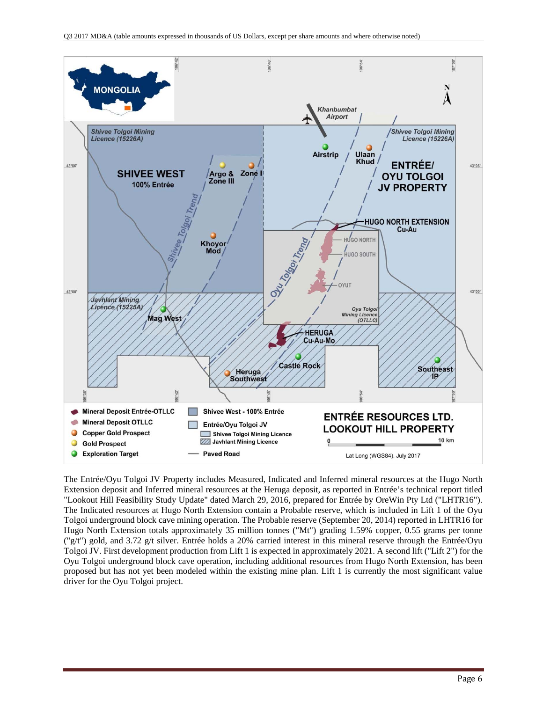

The Entrée/Oyu Tolgoi JV Property includes Measured, Indicated and Inferred mineral resources at the Hugo North Extension deposit and Inferred mineral resources at the Heruga deposit, as reported in Entrée's technical report titled "Lookout Hill Feasibility Study Update" dated March 29, 2016, prepared for Entrée by OreWin Pty Ltd ("LHTR16"). The Indicated resources at Hugo North Extension contain a Probable reserve, which is included in Lift 1 of the Oyu Tolgoi underground block cave mining operation. The Probable reserve (September 20, 2014) reported in LHTR16 for Hugo North Extension totals approximately 35 million tonnes ("Mt") grading 1.59% copper, 0.55 grams per tonne ("g/t") gold, and 3.72 g/t silver. Entrée holds a 20% carried interest in this mineral reserve through the Entrée/Oyu Tolgoi JV. First development production from Lift 1 is expected in approximately 2021. A second lift ("Lift 2") for the Oyu Tolgoi underground block cave operation, including additional resources from Hugo North Extension, has been proposed but has not yet been modeled within the existing mine plan. Lift 1 is currently the most significant value driver for the Oyu Tolgoi project.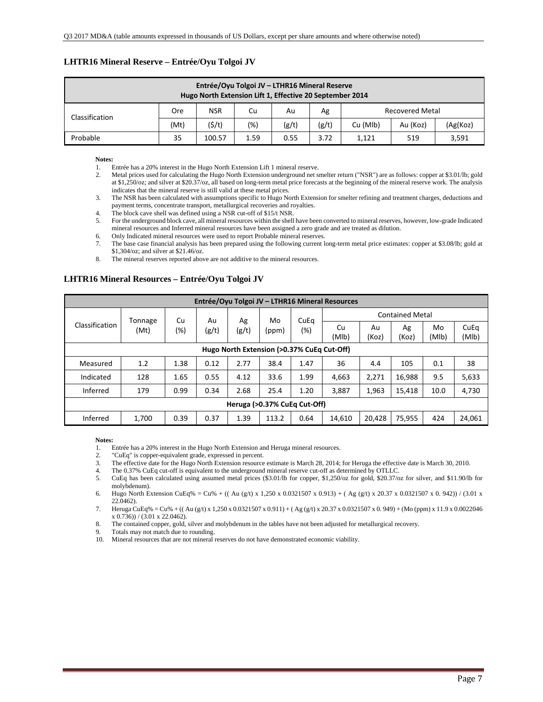### **LHTR16 Mineral Reserve – Entrée/Oyu Tolgoi JV**

| Entrée/Oyu Tolgoi JV - LTHR16 Mineral Reserve<br>Hugo North Extension Lift 1, Effective 20 September 2014 |      |            |      |       |       |                                  |     |       |  |  |  |
|-----------------------------------------------------------------------------------------------------------|------|------------|------|-------|-------|----------------------------------|-----|-------|--|--|--|
| Classification                                                                                            | Ore  | <b>NSR</b> | Cu   | Au    | Ag    | <b>Recovered Metal</b>           |     |       |  |  |  |
|                                                                                                           | (Mt) | (5/t)      | (%)  | (g/t) | (g/t) | (Ag(Koz)<br>Cu (MIb)<br>Au (Koz) |     |       |  |  |  |
| Probable                                                                                                  | 35   | 100.57     | 1.59 | 0.55  | 3.72  | 1,121                            | 519 | 3,591 |  |  |  |

#### **Notes:**

1. Entrée has a 20% interest in the Hugo North Extension Lift 1 mineral reserve.

2. Metal prices used for calculating the Hugo North Extension underground net smelter return ("NSR") are as follows: copper at \$3.01/lb; gold at \$1,250/oz; and silver at \$20.37/oz, all based on long-term metal price forecasts at the beginning of the mineral reserve work. The analysis indicates that the mineral reserve is still valid at these metal prices.

3. The NSR has been calculated with assumptions specific to Hugo North Extension for smelter refining and treatment charges, deductions and payment terms, concentrate transport, metallurgical recoveries and royalties.

4. The block cave shell was defined using a NSR cut-off of \$15/t NSR.

5. For the underground block cave, all mineral resources within the shell have been converted to mineral reserves, however, low-grade Indicated mineral resources and Inferred mineral resources have been assigned a zero grade and are treated as dilution.

6. Only Indicated mineral resources were used to report Probable mineral reserves.

7. The base case financial analysis has been prepared using the following current long-term metal price estimates: copper at \$3.08/lb; gold at \$1,304/oz; and silver at \$21.46/oz.

8. The mineral reserves reported above are not additive to the mineral resources.

### **LHTR16 Mineral Resources – Entrée/Oyu Tolgoi JV**

| Entrée/Oyu Tolgoi JV - LTHR16 Mineral Resources |                              |      |       |       |       |      |             |                        |             |             |               |  |
|-------------------------------------------------|------------------------------|------|-------|-------|-------|------|-------------|------------------------|-------------|-------------|---------------|--|
|                                                 | Tonnage                      | Cu   | Au    | Ag    | Mo    | CuEq |             | <b>Contained Metal</b> |             |             |               |  |
| Classification                                  | (Mt)                         | (%)  | (g/t) | (g/t) | (ppm) | (%)  | Cu<br>(Mlb) | Au<br>(Koz)            | Ag<br>(Koz) | Mo<br>(Mlb) | CuEq<br>(MIb) |  |
| Hugo North Extension (>0.37% CuEq Cut-Off)      |                              |      |       |       |       |      |             |                        |             |             |               |  |
| Measured                                        | 1.2                          | 1.38 | 0.12  | 2.77  | 38.4  | 1.47 | 36          | 4.4                    | 105         | 0.1         | 38            |  |
| Indicated                                       | 128                          | 1.65 | 0.55  | 4.12  | 33.6  | 1.99 | 4,663       | 2.271                  | 16.988      | 9.5         | 5,633         |  |
| Inferred                                        | 179                          | 0.99 | 0.34  | 2.68  | 25.4  | 1.20 | 3,887       | 1,963                  | 15,418      | 10.0        | 4,730         |  |
|                                                 | Heruga (>0.37% CuEq Cut-Off) |      |       |       |       |      |             |                        |             |             |               |  |
| Inferred                                        | 1.700                        | 0.39 | 0.37  | 1.39  | 113.2 | 0.64 | 14.610      | 20.428                 | 75,955      | 424         | 24,061        |  |

#### **Notes:**

1. Entrée has a 20% interest in the Hugo North Extension and Heruga mineral resources.

2. "CuEq" is copper-equivalent grade, expressed in percent.<br>3. The effective date for the Hugo North Extension resource

3. The effective date for the Hugo North Extension resource estimate is March 28, 2014; for Heruga the effective date is March 30, 2010.

4. The 0.37% CuEq cut-off is equivalent to the underground mineral reserve cut-off as determined by OTLLC.

5. CuEq has been calculated using assumed metal prices (\$3.01/lb for copper, \$1,250/oz for gold, \$20.37/oz for silver, and \$11.90/lb for molybdenum).

6. Hugo North Extension CuEq% = Cu% + ((Au (g/t) x 1,250 x 0.0321507 x 0.913) + (Ag (g/t) x 20.37 x 0.0321507 x 0.942)) / (3.01 x 22.0462).

7. Heruga CuEq% = Cu% + (( Au (g/t) x 1,250 x 0.0321507 x 0.911) + ( Ag (g/t) x 20.37 x 0.0321507 x 0. 949) + (Mo (ppm) x 11.9 x 0.0022046 x 0.736)) / (3.01 x 22.0462).

8. The contained copper, gold, silver and molybdenum in the tables have not been adjusted for metallurgical recovery.

Totals may not match due to rounding.

10. Mineral resources that are not mineral reserves do not have demonstrated economic viability.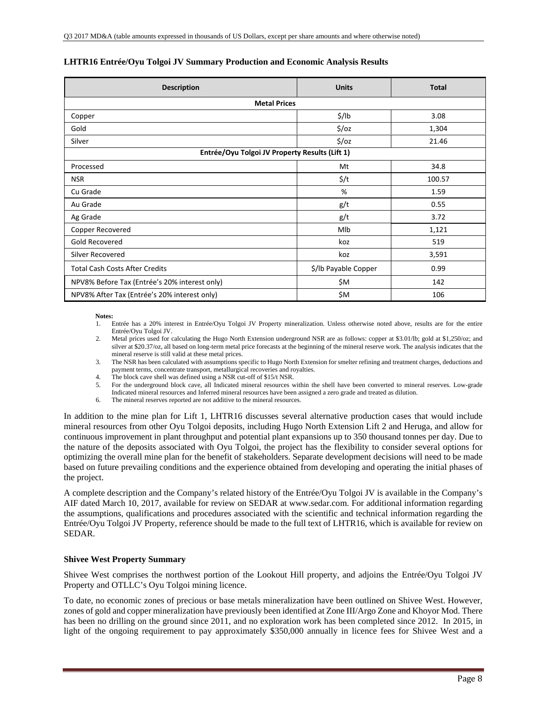| <b>Description</b>                             | <b>Units</b>         | <b>Total</b> |  |  |  |  |  |  |
|------------------------------------------------|----------------------|--------------|--|--|--|--|--|--|
| <b>Metal Prices</b>                            |                      |              |  |  |  |  |  |  |
| Copper                                         | $\frac{1}{2}$ /lb    | 3.08         |  |  |  |  |  |  |
| Gold                                           | $\frac{1}{2}$ /0Z    | 1,304        |  |  |  |  |  |  |
| Silver                                         | $\frac{2}{3}$ /oz    | 21.46        |  |  |  |  |  |  |
| Entrée/Oyu Tolgoi JV Property Results (Lift 1) |                      |              |  |  |  |  |  |  |
| Processed                                      | Mt                   | 34.8         |  |  |  |  |  |  |
| <b>NSR</b>                                     | $\frac{2}{3}$ /t     | 100.57       |  |  |  |  |  |  |
| Cu Grade                                       | %                    | 1.59         |  |  |  |  |  |  |
| Au Grade                                       | g/t                  | 0.55         |  |  |  |  |  |  |
| Ag Grade                                       | g/t                  | 3.72         |  |  |  |  |  |  |
| Copper Recovered                               | Mlb                  | 1,121        |  |  |  |  |  |  |
| Gold Recovered                                 | koz                  | 519          |  |  |  |  |  |  |
| Silver Recovered                               | koz                  | 3,591        |  |  |  |  |  |  |
| <b>Total Cash Costs After Credits</b>          | \$/lb Payable Copper | 0.99         |  |  |  |  |  |  |
| NPV8% Before Tax (Entrée's 20% interest only)  | \$M                  | 142          |  |  |  |  |  |  |
| NPV8% After Tax (Entrée's 20% interest only)   | \$M                  | 106          |  |  |  |  |  |  |

### **LHTR16 Entrée/Oyu Tolgoi JV Summary Production and Economic Analysis Results**

**Notes:** 

1. Entrée has a 20% interest in Entrée/Oyu Tolgoi JV Property mineralization. Unless otherwise noted above, results are for the entire Entrée/Oyu Tolgoi JV.

2. Metal prices used for calculating the Hugo North Extension underground NSR are as follows: copper at \$3.01/lb; gold at \$1,250/oz; and silver at \$20.37/oz, all based on long-term metal price forecasts at the beginning of the mineral reserve work. The analysis indicates that the mineral reserve is still valid at these metal prices.

3. The NSR has been calculated with assumptions specific to Hugo North Extension for smelter refining and treatment charges, deductions and payment terms, concentrate transport, metallurgical recoveries and royalties.

4. The block cave shell was defined using a NSR cut-off of \$15/t NSR.

5. For the underground block cave, all Indicated mineral resources within the shell have been converted to mineral reserves. Low-grade Indicated mineral resources and Inferred mineral resources have been assigned a zero grade and treated as dilution.

6. The mineral reserves reported are not additive to the mineral resources.

In addition to the mine plan for Lift 1, LHTR16 discusses several alternative production cases that would include mineral resources from other Oyu Tolgoi deposits, including Hugo North Extension Lift 2 and Heruga, and allow for continuous improvement in plant throughput and potential plant expansions up to 350 thousand tonnes per day. Due to the nature of the deposits associated with Oyu Tolgoi, the project has the flexibility to consider several options for optimizing the overall mine plan for the benefit of stakeholders. Separate development decisions will need to be made based on future prevailing conditions and the experience obtained from developing and operating the initial phases of the project.

A complete description and the Company's related history of the Entrée/Oyu Tolgoi JV is available in the Company's AIF dated March 10, 2017, available for review on SEDAR at www.sedar.com. For additional information regarding the assumptions, qualifications and procedures associated with the scientific and technical information regarding the Entrée/Oyu Tolgoi JV Property, reference should be made to the full text of LHTR16, which is available for review on SEDAR.

#### **Shivee West Property Summary**

Shivee West comprises the northwest portion of the Lookout Hill property, and adjoins the Entrée/Oyu Tolgoi JV Property and OTLLC's Oyu Tolgoi mining licence.

To date, no economic zones of precious or base metals mineralization have been outlined on Shivee West. However, zones of gold and copper mineralization have previously been identified at Zone III/Argo Zone and Khoyor Mod. There has been no drilling on the ground since 2011, and no exploration work has been completed since 2012. In 2015, in light of the ongoing requirement to pay approximately \$350,000 annually in licence fees for Shivee West and a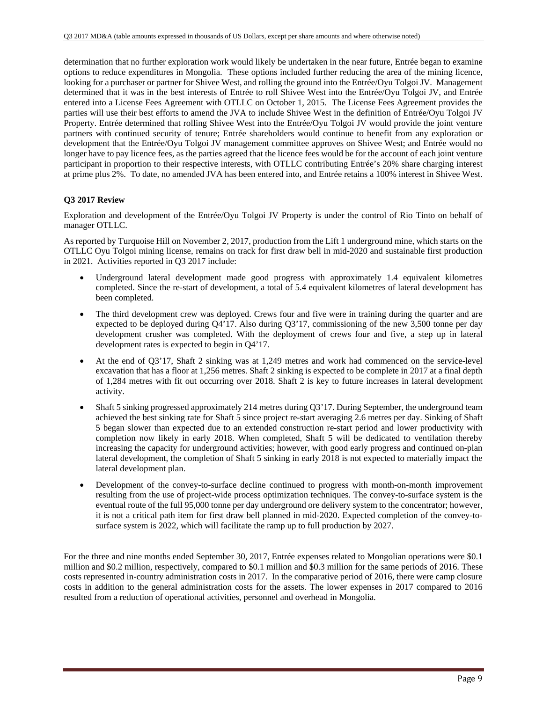determination that no further exploration work would likely be undertaken in the near future, Entrée began to examine options to reduce expenditures in Mongolia. These options included further reducing the area of the mining licence, looking for a purchaser or partner for Shivee West, and rolling the ground into the Entrée/Oyu Tolgoi JV. Management determined that it was in the best interests of Entrée to roll Shivee West into the Entrée/Oyu Tolgoi JV, and Entrée entered into a License Fees Agreement with OTLLC on October 1, 2015. The License Fees Agreement provides the parties will use their best efforts to amend the JVA to include Shivee West in the definition of Entrée/Oyu Tolgoi JV Property. Entrée determined that rolling Shivee West into the Entrée/Oyu Tolgoi JV would provide the joint venture partners with continued security of tenure; Entrée shareholders would continue to benefit from any exploration or development that the Entrée/Oyu Tolgoi JV management committee approves on Shivee West; and Entrée would no longer have to pay licence fees, as the parties agreed that the licence fees would be for the account of each joint venture participant in proportion to their respective interests, with OTLLC contributing Entrée's 20% share charging interest at prime plus 2%. To date, no amended JVA has been entered into, and Entrée retains a 100% interest in Shivee West.

### **Q3 2017 Review**

Exploration and development of the Entrée/Oyu Tolgoi JV Property is under the control of Rio Tinto on behalf of manager OTLLC.

As reported by Turquoise Hill on November 2, 2017, production from the Lift 1 underground mine, which starts on the OTLLC Oyu Tolgoi mining license, remains on track for first draw bell in mid-2020 and sustainable first production in 2021. Activities reported in Q3 2017 include:

- Underground lateral development made good progress with approximately 1.4 equivalent kilometres completed. Since the re-start of development, a total of 5.4 equivalent kilometres of lateral development has been completed.
- The third development crew was deployed. Crews four and five were in training during the quarter and are expected to be deployed during Q4'17. Also during Q3'17, commissioning of the new 3,500 tonne per day development crusher was completed. With the deployment of crews four and five, a step up in lateral development rates is expected to begin in Q4'17.
- At the end of Q3'17, Shaft 2 sinking was at 1,249 metres and work had commenced on the service-level excavation that has a floor at 1,256 metres. Shaft 2 sinking is expected to be complete in 2017 at a final depth of 1,284 metres with fit out occurring over 2018. Shaft 2 is key to future increases in lateral development activity.
- Shaft 5 sinking progressed approximately 214 metres during Q3'17. During September, the underground team achieved the best sinking rate for Shaft 5 since project re-start averaging 2.6 metres per day. Sinking of Shaft 5 began slower than expected due to an extended construction re-start period and lower productivity with completion now likely in early 2018. When completed, Shaft 5 will be dedicated to ventilation thereby increasing the capacity for underground activities; however, with good early progress and continued on-plan lateral development, the completion of Shaft 5 sinking in early 2018 is not expected to materially impact the lateral development plan.
- Development of the convey-to-surface decline continued to progress with month-on-month improvement resulting from the use of project-wide process optimization techniques. The convey-to-surface system is the eventual route of the full 95,000 tonne per day underground ore delivery system to the concentrator; however, it is not a critical path item for first draw bell planned in mid-2020. Expected completion of the convey-tosurface system is 2022, which will facilitate the ramp up to full production by 2027.

For the three and nine months ended September 30, 2017, Entrée expenses related to Mongolian operations were \$0.1 million and \$0.2 million, respectively, compared to \$0.1 million and \$0.3 million for the same periods of 2016. These costs represented in-country administration costs in 2017. In the comparative period of 2016, there were camp closure costs in addition to the general administration costs for the assets. The lower expenses in 2017 compared to 2016 resulted from a reduction of operational activities, personnel and overhead in Mongolia.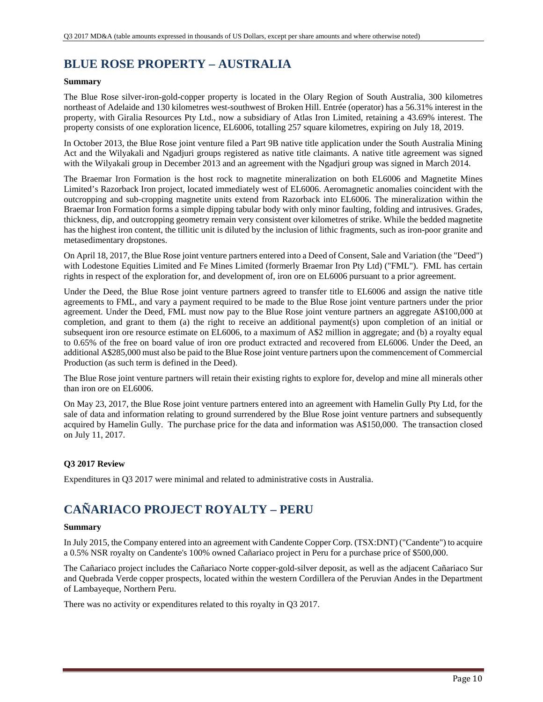# **BLUE ROSE PROPERTY – AUSTRALIA**

#### **Summary**

The Blue Rose silver-iron-gold-copper property is located in the Olary Region of South Australia, 300 kilometres northeast of Adelaide and 130 kilometres west-southwest of Broken Hill. Entrée (operator) has a 56.31% interest in the property, with Giralia Resources Pty Ltd., now a subsidiary of Atlas Iron Limited, retaining a 43.69% interest. The property consists of one exploration licence, EL6006, totalling 257 square kilometres, expiring on July 18, 2019.

In October 2013, the Blue Rose joint venture filed a Part 9B native title application under the South Australia Mining Act and the Wilyakali and Ngadjuri groups registered as native title claimants. A native title agreement was signed with the Wilyakali group in December 2013 and an agreement with the Ngadjuri group was signed in March 2014.

The Braemar Iron Formation is the host rock to magnetite mineralization on both EL6006 and Magnetite Mines Limited's Razorback Iron project, located immediately west of EL6006. Aeromagnetic anomalies coincident with the outcropping and sub-cropping magnetite units extend from Razorback into EL6006. The mineralization within the Braemar Iron Formation forms a simple dipping tabular body with only minor faulting, folding and intrusives. Grades, thickness, dip, and outcropping geometry remain very consistent over kilometres of strike. While the bedded magnetite has the highest iron content, the tillitic unit is diluted by the inclusion of lithic fragments, such as iron-poor granite and metasedimentary dropstones.

On April 18, 2017, the Blue Rose joint venture partners entered into a Deed of Consent, Sale and Variation (the "Deed") with Lodestone Equities Limited and Fe Mines Limited (formerly Braemar Iron Pty Ltd) ("FML"). FML has certain rights in respect of the exploration for, and development of, iron ore on EL6006 pursuant to a prior agreement.

Under the Deed, the Blue Rose joint venture partners agreed to transfer title to EL6006 and assign the native title agreements to FML, and vary a payment required to be made to the Blue Rose joint venture partners under the prior agreement. Under the Deed, FML must now pay to the Blue Rose joint venture partners an aggregate A\$100,000 at completion, and grant to them (a) the right to receive an additional payment(s) upon completion of an initial or subsequent iron ore resource estimate on EL6006, to a maximum of A\$2 million in aggregate; and (b) a royalty equal to 0.65% of the free on board value of iron ore product extracted and recovered from EL6006. Under the Deed, an additional A\$285,000 must also be paid to the Blue Rose joint venture partners upon the commencement of Commercial Production (as such term is defined in the Deed).

The Blue Rose joint venture partners will retain their existing rights to explore for, develop and mine all minerals other than iron ore on EL6006.

On May 23, 2017, the Blue Rose joint venture partners entered into an agreement with Hamelin Gully Pty Ltd, for the sale of data and information relating to ground surrendered by the Blue Rose joint venture partners and subsequently acquired by Hamelin Gully. The purchase price for the data and information was A\$150,000. The transaction closed on July 11, 2017.

#### **Q3 2017 Review**

Expenditures in Q3 2017 were minimal and related to administrative costs in Australia.

# **CAÑARIACO PROJECT ROYALTY – PERU**

#### **Summary**

In July 2015, the Company entered into an agreement with Candente Copper Corp. (TSX:DNT) ("Candente") to acquire a 0.5% NSR royalty on Candente's 100% owned Cañariaco project in Peru for a purchase price of \$500,000.

The Cañariaco project includes the Cañariaco Norte copper-gold-silver deposit, as well as the adjacent Cañariaco Sur and Quebrada Verde copper prospects, located within the western Cordillera of the Peruvian Andes in the Department of Lambayeque, Northern Peru.

There was no activity or expenditures related to this royalty in Q3 2017.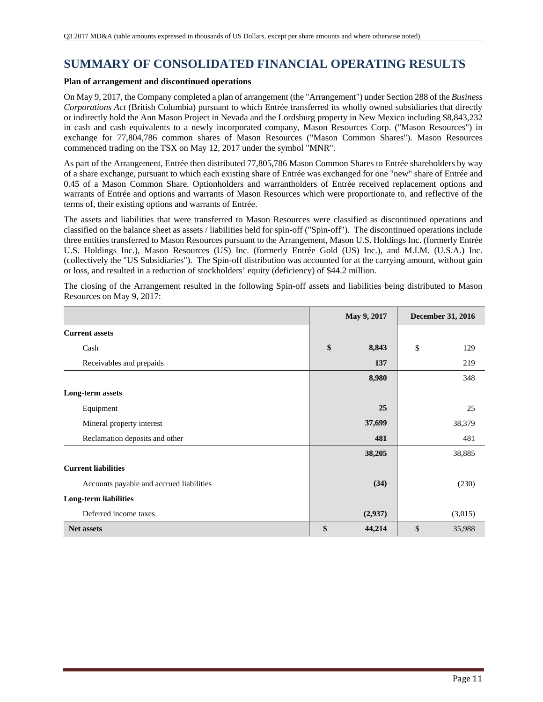## **SUMMARY OF CONSOLIDATED FINANCIAL OPERATING RESULTS**

#### **Plan of arrangement and discontinued operations**

On May 9, 2017, the Company completed a plan of arrangement (the "Arrangement") under Section 288 of the *Business Corporations Act* (British Columbia) pursuant to which Entrée transferred its wholly owned subsidiaries that directly or indirectly hold the Ann Mason Project in Nevada and the Lordsburg property in New Mexico including \$8,843,232 in cash and cash equivalents to a newly incorporated company, Mason Resources Corp. ("Mason Resources") in exchange for 77,804,786 common shares of Mason Resources ("Mason Common Shares"). Mason Resources commenced trading on the TSX on May 12, 2017 under the symbol "MNR".

As part of the Arrangement, Entrée then distributed 77,805,786 Mason Common Shares to Entrée shareholders by way of a share exchange, pursuant to which each existing share of Entrée was exchanged for one "new" share of Entrée and 0.45 of a Mason Common Share. Optionholders and warrantholders of Entrée received replacement options and warrants of Entrée and options and warrants of Mason Resources which were proportionate to, and reflective of the terms of, their existing options and warrants of Entrée.

The assets and liabilities that were transferred to Mason Resources were classified as discontinued operations and classified on the balance sheet as assets / liabilities held for spin-off ("Spin-off"). The discontinued operations include three entities transferred to Mason Resources pursuant to the Arrangement, Mason U.S. Holdings Inc. (formerly Entrée U.S. Holdings Inc.), Mason Resources (US) Inc. (formerly Entrée Gold (US) Inc.), and M.I.M. (U.S.A.) Inc. (collectively the "US Subsidiaries"). The Spin-off distribution was accounted for at the carrying amount, without gain or loss, and resulted in a reduction of stockholders' equity (deficiency) of \$44.2 million.

The closing of the Arrangement resulted in the following Spin-off assets and liabilities being distributed to Mason Resources on May 9, 2017:

|                                          | May 9, 2017  |               | December 31, 2016 |
|------------------------------------------|--------------|---------------|-------------------|
| <b>Current assets</b>                    |              |               |                   |
| Cash                                     | \$<br>8,843  | \$            | 129               |
| Receivables and prepaids                 | 137          |               | 219               |
|                                          | 8,980        |               | 348               |
| Long-term assets                         |              |               |                   |
| Equipment                                | 25           |               | 25                |
| Mineral property interest                | 37,699       |               | 38,379            |
| Reclamation deposits and other           | 481          |               | 481               |
|                                          | 38,205       |               | 38,885            |
| <b>Current liabilities</b>               |              |               |                   |
| Accounts payable and accrued liabilities | (34)         |               | (230)             |
| <b>Long-term liabilities</b>             |              |               |                   |
| Deferred income taxes                    | (2,937)      |               | (3,015)           |
| <b>Net assets</b>                        | \$<br>44,214 | $\mathcal{S}$ | 35,988            |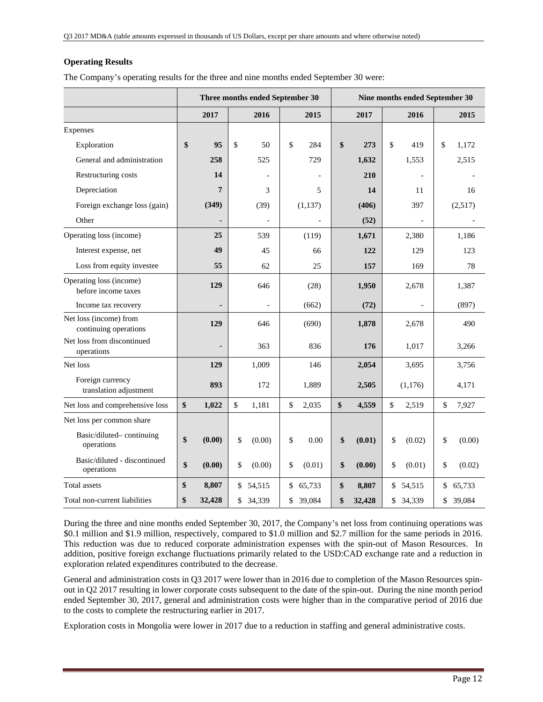#### **Operating Results**

The Company's operating results for the three and nine months ended September 30 were:

|                                                 | Three months ended September 30 |        |    |                |    | Nine months ended September 30 |    |        |    |         |    |         |
|-------------------------------------------------|---------------------------------|--------|----|----------------|----|--------------------------------|----|--------|----|---------|----|---------|
|                                                 |                                 | 2017   |    | 2016           |    | 2015                           |    | 2017   |    | 2016    |    | 2015    |
| Expenses                                        |                                 |        |    |                |    |                                |    |        |    |         |    |         |
| Exploration                                     | \$                              | 95     | \$ | 50             | \$ | 284                            | \$ | 273    | \$ | 419     | \$ | 1,172   |
| General and administration                      |                                 | 258    |    | 525            |    | 729                            |    | 1,632  |    | 1,553   |    | 2,515   |
| Restructuring costs                             |                                 | 14     |    |                |    |                                |    | 210    |    |         |    |         |
| Depreciation                                    |                                 | 7      |    | 3              |    | 5                              |    | 14     |    | 11      |    | 16      |
| Foreign exchange loss (gain)                    |                                 | (349)  |    | (39)           |    | (1, 137)                       |    | (406)  |    | 397     |    | (2,517) |
| Other                                           |                                 |        |    |                |    |                                |    | (52)   |    |         |    |         |
| Operating loss (income)                         |                                 | 25     |    | 539            |    | (119)                          |    | 1,671  |    | 2,380   |    | 1,186   |
| Interest expense, net                           |                                 | 49     |    | 45             |    | 66                             |    | 122    |    | 129     |    | 123     |
| Loss from equity investee                       |                                 | 55     |    | 62             |    | 25                             |    | 157    |    | 169     |    | 78      |
| Operating loss (income)<br>before income taxes  |                                 | 129    |    | 646            |    | (28)                           |    | 1,950  |    | 2,678   |    | 1,387   |
| Income tax recovery                             |                                 |        |    | $\overline{a}$ |    | (662)                          |    | (72)   |    |         |    | (897)   |
| Net loss (income) from<br>continuing operations |                                 | 129    |    | 646            |    | (690)                          |    | 1,878  |    | 2,678   |    | 490     |
| Net loss from discontinued<br>operations        |                                 | ۰      |    | 363            |    | 836                            |    | 176    |    | 1,017   |    | 3,266   |
| Net loss                                        |                                 | 129    |    | 1,009          |    | 146                            |    | 2,054  |    | 3,695   |    | 3,756   |
| Foreign currency<br>translation adjustment      |                                 | 893    |    | 172            |    | 1,889                          |    | 2,505  |    | (1,176) |    | 4,171   |
| Net loss and comprehensive loss                 | \$                              | 1,022  | \$ | 1,181          | \$ | 2,035                          | \$ | 4,559  | \$ | 2,519   | \$ | 7,927   |
| Net loss per common share                       |                                 |        |    |                |    |                                |    |        |    |         |    |         |
| Basic/diluted-continuing<br>operations          | \$                              | (0.00) | \$ | (0.00)         | \$ | 0.00                           | \$ | (0.01) | \$ | (0.02)  | \$ | (0.00)  |
| Basic/diluted - discontinued<br>operations      | \$                              | (0.00) | \$ | (0.00)         | \$ | (0.01)                         | \$ | (0.00) | \$ | (0.01)  | \$ | (0.02)  |
| Total assets                                    | \$                              | 8,807  | \$ | 54,515         | \$ | 65,733                         | \$ | 8,807  | \$ | 54,515  | \$ | 65,733  |
| Total non-current liabilities                   | \$                              | 32,428 | \$ | 34,339         | \$ | 39,084                         | \$ | 32,428 | \$ | 34,339  | \$ | 39,084  |

During the three and nine months ended September 30, 2017, the Company's net loss from continuing operations was \$0.1 million and \$1.9 million, respectively, compared to \$1.0 million and \$2.7 million for the same periods in 2016. This reduction was due to reduced corporate administration expenses with the spin-out of Mason Resources. In addition, positive foreign exchange fluctuations primarily related to the USD:CAD exchange rate and a reduction in exploration related expenditures contributed to the decrease.

General and administration costs in Q3 2017 were lower than in 2016 due to completion of the Mason Resources spinout in Q2 2017 resulting in lower corporate costs subsequent to the date of the spin-out. During the nine month period ended September 30, 2017, general and administration costs were higher than in the comparative period of 2016 due to the costs to complete the restructuring earlier in 2017.

Exploration costs in Mongolia were lower in 2017 due to a reduction in staffing and general administrative costs.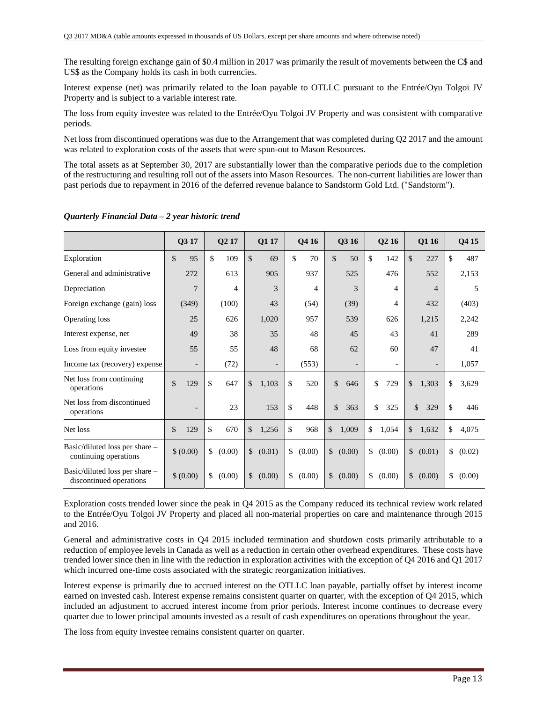The resulting foreign exchange gain of \$0.4 million in 2017 was primarily the result of movements between the C\$ and US\$ as the Company holds its cash in both currencies.

Interest expense (net) was primarily related to the loan payable to OTLLC pursuant to the Entrée/Oyu Tolgoi JV Property and is subject to a variable interest rate.

The loss from equity investee was related to the Entrée/Oyu Tolgoi JV Property and was consistent with comparative periods.

Net loss from discontinued operations was due to the Arrangement that was completed during Q2 2017 and the amount was related to exploration costs of the assets that were spun-out to Mason Resources.

The total assets as at September 30, 2017 are substantially lower than the comparative periods due to the completion of the restructuring and resulting roll out of the assets into Mason Resources. The non-current liabilities are lower than past periods due to repayment in 2016 of the deferred revenue balance to Sandstorm Gold Ltd. ("Sandstorm").

|                                                           | Q3 17                    | Q2 17        | Q1 17                    | Q4 16        | Q3 16                    | Q <sub>2</sub> 16 | Q1 16                    | Q4 15        |
|-----------------------------------------------------------|--------------------------|--------------|--------------------------|--------------|--------------------------|-------------------|--------------------------|--------------|
| Exploration                                               | \$<br>95                 | \$<br>109    | \$<br>69                 | \$<br>70     | \$<br>50                 | \$<br>142         | \$<br>227                | \$<br>487    |
| General and administrative                                | 272                      | 613          | 905                      | 937          | 525                      | 476               | 552                      | 2,153        |
| Depreciation                                              | $\overline{7}$           | 4            | 3                        | 4            | 3                        | 4                 | 4                        | 5            |
| Foreign exchange (gain) loss                              | (349)                    | (100)        | 43                       | (54)         | (39)                     | 4                 | 432                      | (403)        |
| Operating loss                                            | 25                       | 626          | 1,020                    | 957          | 539                      | 626               | 1,215                    | 2,242        |
| Interest expense, net                                     | 49                       | 38           | 35                       | 48           | 45                       | 43                | 41                       | 289          |
| Loss from equity investee                                 | 55                       | 55           | 48                       | 68           | 62                       | 60                | 47                       | 41           |
| Income tax (recovery) expense                             | $\overline{\phantom{a}}$ | (72)         | $\overline{\phantom{a}}$ | (553)        | $\overline{\phantom{a}}$ |                   | $\overline{\phantom{a}}$ | 1,057        |
| Net loss from continuing<br>operations                    | \$<br>129                | \$<br>647    | \$<br>1,103              | \$<br>520    | \$<br>646                | \$<br>729         | \$<br>1,303              | 3,629<br>\$  |
| Net loss from discontinued<br>operations                  |                          | 23           | 153                      | \$<br>448    | \$<br>363                | \$<br>325         | \$<br>329                | \$<br>446    |
| Net loss                                                  | \$<br>129                | \$<br>670    | \$<br>1,256              | \$<br>968    | \$<br>1,009              | \$<br>1,054       | \$<br>1,632              | \$<br>4,075  |
| Basic/diluted loss per share -<br>continuing operations   | \$ (0.00)                | \$<br>(0.00) | $\mathbb{S}$<br>(0.01)   | \$<br>(0.00) | \$<br>(0.00)             | \$<br>(0.00)      | \$<br>(0.01)             | \$<br>(0.02) |
| Basic/diluted loss per share -<br>discontinued operations | \$ (0.00)                | \$<br>(0.00) | \$<br>(0.00)             | \$<br>(0.00) | \$<br>(0.00)             | (0.00)<br>\$      | \$<br>(0.00)             | \$<br>(0.00) |

#### *Quarterly Financial Data – 2 year historic trend*

Exploration costs trended lower since the peak in Q4 2015 as the Company reduced its technical review work related to the Entrée/Oyu Tolgoi JV Property and placed all non-material properties on care and maintenance through 2015 and 2016.

General and administrative costs in Q4 2015 included termination and shutdown costs primarily attributable to a reduction of employee levels in Canada as well as a reduction in certain other overhead expenditures. These costs have trended lower since then in line with the reduction in exploration activities with the exception of Q4 2016 and Q1 2017 which incurred one-time costs associated with the strategic reorganization initiatives.

Interest expense is primarily due to accrued interest on the OTLLC loan payable, partially offset by interest income earned on invested cash. Interest expense remains consistent quarter on quarter, with the exception of Q4 2015, which included an adjustment to accrued interest income from prior periods. Interest income continues to decrease every quarter due to lower principal amounts invested as a result of cash expenditures on operations throughout the year.

The loss from equity investee remains consistent quarter on quarter.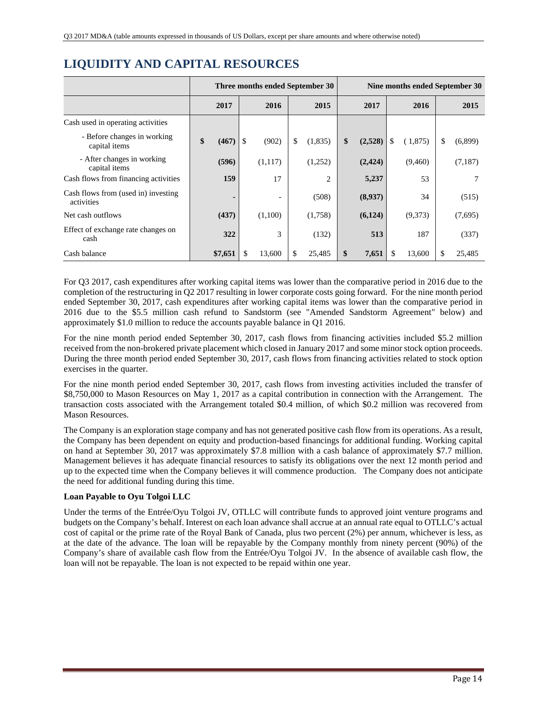|                                                   |             | Three months ended September 30 |                | Nine months ended September 30 |          |     |         |    |         |
|---------------------------------------------------|-------------|---------------------------------|----------------|--------------------------------|----------|-----|---------|----|---------|
|                                                   | 2017        | 2016                            | 2015           |                                | 2017     |     | 2016    |    | 2015    |
| Cash used in operating activities                 |             |                                 |                |                                |          |     |         |    |         |
| - Before changes in working<br>capital items      | \$<br>(467) | \$<br>(902)                     | \$<br>(1,835)  | \$                             | (2,528)  | \$  | (1,875) | \$ | (6,899) |
| - After changes in working<br>capital items       | (596)       | (1,117)                         | (1,252)        |                                | (2, 424) |     | (9,460) |    | (7,187) |
| Cash flows from financing activities              | 159         | 17                              | $\overline{c}$ |                                | 5,237    |     | 53      |    |         |
| Cash flows from (used in) investing<br>activities |             | $\overline{a}$                  | (508)          |                                | (8,937)  |     | 34      |    | (515)   |
| Net cash outflows                                 | (437)       | (1,100)                         | (1,758)        |                                | (6,124)  |     | (9,373) |    | (7,695) |
| Effect of exchange rate changes on<br>cash        | 322         | 3                               | (132)          |                                | 513      |     | 187     |    | (337)   |
| Cash balance                                      | \$7,651     | \$<br>13,600                    | \$<br>25,485   | \$                             | 7,651    | \$. | 13,600  | S  | 25,485  |

## **LIQUIDITY AND CAPITAL RESOURCES**

For Q3 2017, cash expenditures after working capital items was lower than the comparative period in 2016 due to the completion of the restructuring in Q2 2017 resulting in lower corporate costs going forward. For the nine month period ended September 30, 2017, cash expenditures after working capital items was lower than the comparative period in 2016 due to the \$5.5 million cash refund to Sandstorm (see "Amended Sandstorm Agreement" below) and approximately \$1.0 million to reduce the accounts payable balance in Q1 2016.

For the nine month period ended September 30, 2017, cash flows from financing activities included \$5.2 million received from the non-brokered private placement which closed in January 2017 and some minor stock option proceeds. During the three month period ended September 30, 2017, cash flows from financing activities related to stock option exercises in the quarter.

For the nine month period ended September 30, 2017, cash flows from investing activities included the transfer of \$8,750,000 to Mason Resources on May 1, 2017 as a capital contribution in connection with the Arrangement. The transaction costs associated with the Arrangement totaled \$0.4 million, of which \$0.2 million was recovered from Mason Resources.

The Company is an exploration stage company and has not generated positive cash flow from its operations. As a result, the Company has been dependent on equity and production-based financings for additional funding. Working capital on hand at September 30, 2017 was approximately \$7.8 million with a cash balance of approximately \$7.7 million. Management believes it has adequate financial resources to satisfy its obligations over the next 12 month period and up to the expected time when the Company believes it will commence production. The Company does not anticipate the need for additional funding during this time.

#### **Loan Payable to Oyu Tolgoi LLC**

Under the terms of the Entrée/Oyu Tolgoi JV, OTLLC will contribute funds to approved joint venture programs and budgets on the Company's behalf. Interest on each loan advance shall accrue at an annual rate equal to OTLLC's actual cost of capital or the prime rate of the Royal Bank of Canada, plus two percent (2%) per annum, whichever is less, as at the date of the advance. The loan will be repayable by the Company monthly from ninety percent (90%) of the Company's share of available cash flow from the Entrée/Oyu Tolgoi JV. In the absence of available cash flow, the loan will not be repayable. The loan is not expected to be repaid within one year.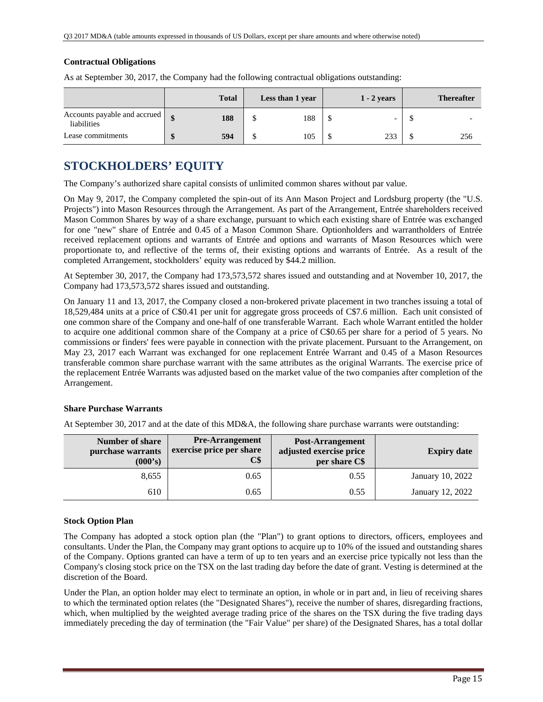### **Contractual Obligations**

As at September 30, 2017, the Company had the following contractual obligations outstanding:

|                                             |    | <b>Total</b> |        | Less than 1 year | $1 - 2$ years |   | <b>Thereafter</b> |
|---------------------------------------------|----|--------------|--------|------------------|---------------|---|-------------------|
| Accounts payable and accrued<br>liabilities |    | 188          | ₼<br>D | 188              | -             |   |                   |
| Lease commitments                           | ΨD | 594          | ¢<br>D | 105              | 233           | ◡ | 256               |

### **STOCKHOLDERS' EQUITY**

The Company's authorized share capital consists of unlimited common shares without par value.

On May 9, 2017, the Company completed the spin-out of its Ann Mason Project and Lordsburg property (the "U.S. Projects") into Mason Resources through the Arrangement. As part of the Arrangement, Entrée shareholders received Mason Common Shares by way of a share exchange, pursuant to which each existing share of Entrée was exchanged for one "new" share of Entrée and 0.45 of a Mason Common Share. Optionholders and warrantholders of Entrée received replacement options and warrants of Entrée and options and warrants of Mason Resources which were proportionate to, and reflective of the terms of, their existing options and warrants of Entrée. As a result of the completed Arrangement, stockholders' equity was reduced by \$44.2 million.

At September 30, 2017, the Company had 173,573,572 shares issued and outstanding and at November 10, 2017, the Company had 173,573,572 shares issued and outstanding.

On January 11 and 13, 2017, the Company closed a non-brokered private placement in two tranches issuing a total of 18,529,484 units at a price of C\$0.41 per unit for aggregate gross proceeds of C\$7.6 million. Each unit consisted of one common share of the Company and one-half of one transferable Warrant. Each whole Warrant entitled the holder to acquire one additional common share of the Company at a price of C\$0.65 per share for a period of 5 years. No commissions or finders' fees were payable in connection with the private placement. Pursuant to the Arrangement, on May 23, 2017 each Warrant was exchanged for one replacement Entrée Warrant and 0.45 of a Mason Resources transferable common share purchase warrant with the same attributes as the original Warrants. The exercise price of the replacement Entrée Warrants was adjusted based on the market value of the two companies after completion of the Arrangement.

#### **Share Purchase Warrants**

| <b>Expiry date</b> | <b>Post-Arrangement</b><br>adjusted exercise price<br>per share C\$ | <b>Pre-Arrangement</b><br>exercise price per share<br>$\mathbf{C}\$$ | Number of share<br>purchase warrants<br>(000's) |
|--------------------|---------------------------------------------------------------------|----------------------------------------------------------------------|-------------------------------------------------|
| January 10, 2022   | 0.55                                                                | 0.65                                                                 | 8,655                                           |
| January 12, 2022   | 0.55                                                                | 0.65                                                                 | 610                                             |

At September 30, 2017 and at the date of this MD&A, the following share purchase warrants were outstanding:

### **Stock Option Plan**

The Company has adopted a stock option plan (the "Plan") to grant options to directors, officers, employees and consultants. Under the Plan, the Company may grant options to acquire up to 10% of the issued and outstanding shares of the Company. Options granted can have a term of up to ten years and an exercise price typically not less than the Company's closing stock price on the TSX on the last trading day before the date of grant. Vesting is determined at the discretion of the Board.

Under the Plan, an option holder may elect to terminate an option, in whole or in part and, in lieu of receiving shares to which the terminated option relates (the "Designated Shares"), receive the number of shares, disregarding fractions, which, when multiplied by the weighted average trading price of the shares on the TSX during the five trading days immediately preceding the day of termination (the "Fair Value" per share) of the Designated Shares, has a total dollar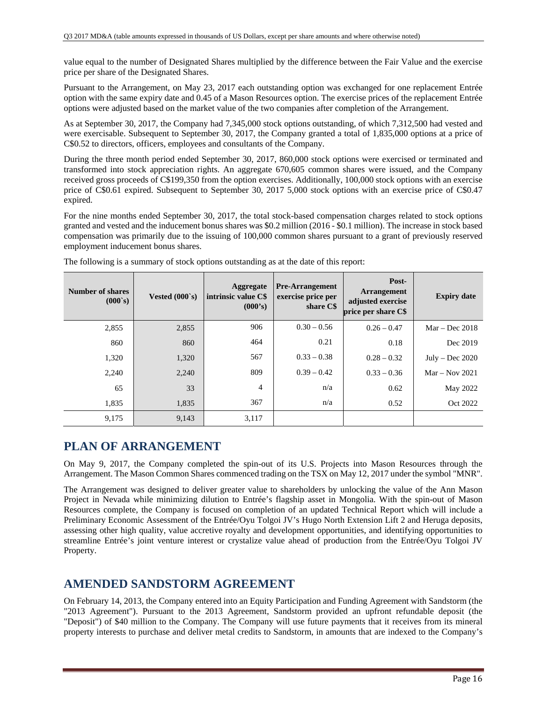value equal to the number of Designated Shares multiplied by the difference between the Fair Value and the exercise price per share of the Designated Shares.

Pursuant to the Arrangement, on May 23, 2017 each outstanding option was exchanged for one replacement Entrée option with the same expiry date and 0.45 of a Mason Resources option. The exercise prices of the replacement Entrée options were adjusted based on the market value of the two companies after completion of the Arrangement.

As at September 30, 2017, the Company had 7,345,000 stock options outstanding, of which 7,312,500 had vested and were exercisable. Subsequent to September 30, 2017, the Company granted a total of 1,835,000 options at a price of C\$0.52 to directors, officers, employees and consultants of the Company.

During the three month period ended September 30, 2017, 860,000 stock options were exercised or terminated and transformed into stock appreciation rights. An aggregate 670,605 common shares were issued, and the Company received gross proceeds of C\$199,350 from the option exercises. Additionally, 100,000 stock options with an exercise price of C\$0.61 expired. Subsequent to September 30, 2017 5,000 stock options with an exercise price of C\$0.47 expired.

For the nine months ended September 30, 2017, the total stock-based compensation charges related to stock options granted and vested and the inducement bonus shares was \$0.2 million (2016 - \$0.1 million). The increase in stock based compensation was primarily due to the issuing of 100,000 common shares pursuant to a grant of previously reserved employment inducement bonus shares.

| <b>Number of shares</b><br>(000's) | Vested $(000 \text{ s})$ | Aggregate<br>intrinsic value C\$<br>(000's) | <b>Pre-Arrangement</b><br>exercise price per<br>share C\$ | Post-<br><b>Arrangement</b><br>adjusted exercise<br>price per share C\$ | <b>Expiry date</b> |
|------------------------------------|--------------------------|---------------------------------------------|-----------------------------------------------------------|-------------------------------------------------------------------------|--------------------|
| 2,855                              | 2,855                    | 906                                         | $0.30 - 0.56$                                             | $0.26 - 0.47$                                                           | $Mar - Dec 2018$   |
| 860                                | 860                      | 464                                         | 0.21                                                      | 0.18                                                                    | Dec 2019           |
| 1,320                              | 1,320                    | 567                                         | $0.33 - 0.38$                                             | $0.28 - 0.32$                                                           | July – Dec $2020$  |
| 2,240                              | 2,240                    | 809                                         | $0.39 - 0.42$                                             | $0.33 - 0.36$                                                           | $Mar - Nov 2021$   |
| 65                                 | 33                       | $\overline{4}$                              | n/a                                                       | 0.62                                                                    | May 2022           |
| 1,835                              | 1,835                    | 367                                         | n/a                                                       | 0.52                                                                    | Oct 2022           |
| 9,175                              | 9,143                    | 3,117                                       |                                                           |                                                                         |                    |

The following is a summary of stock options outstanding as at the date of this report:

### **PLAN OF ARRANGEMENT**

On May 9, 2017, the Company completed the spin-out of its U.S. Projects into Mason Resources through the Arrangement. The Mason Common Shares commenced trading on the TSX on May 12, 2017 under the symbol "MNR".

The Arrangement was designed to deliver greater value to shareholders by unlocking the value of the Ann Mason Project in Nevada while minimizing dilution to Entrée's flagship asset in Mongolia. With the spin-out of Mason Resources complete, the Company is focused on completion of an updated Technical Report which will include a Preliminary Economic Assessment of the Entrée/Oyu Tolgoi JV's Hugo North Extension Lift 2 and Heruga deposits, assessing other high quality, value accretive royalty and development opportunities, and identifying opportunities to streamline Entrée's joint venture interest or crystalize value ahead of production from the Entrée/Oyu Tolgoi JV Property.

### **AMENDED SANDSTORM AGREEMENT**

On February 14, 2013, the Company entered into an Equity Participation and Funding Agreement with Sandstorm (the "2013 Agreement"). Pursuant to the 2013 Agreement, Sandstorm provided an upfront refundable deposit (the "Deposit") of \$40 million to the Company. The Company will use future payments that it receives from its mineral property interests to purchase and deliver metal credits to Sandstorm, in amounts that are indexed to the Company's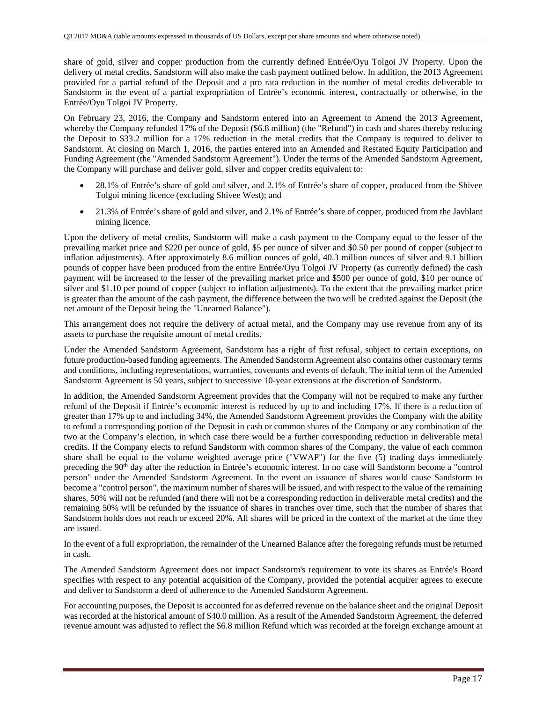share of gold, silver and copper production from the currently defined Entrée/Oyu Tolgoi JV Property. Upon the delivery of metal credits, Sandstorm will also make the cash payment outlined below. In addition, the 2013 Agreement provided for a partial refund of the Deposit and a pro rata reduction in the number of metal credits deliverable to Sandstorm in the event of a partial expropriation of Entrée's economic interest, contractually or otherwise, in the Entrée/Oyu Tolgoi JV Property.

On February 23, 2016, the Company and Sandstorm entered into an Agreement to Amend the 2013 Agreement, whereby the Company refunded 17% of the Deposit (\$6.8 million) (the "Refund") in cash and shares thereby reducing the Deposit to \$33.2 million for a 17% reduction in the metal credits that the Company is required to deliver to Sandstorm. At closing on March 1, 2016, the parties entered into an Amended and Restated Equity Participation and Funding Agreement (the "Amended Sandstorm Agreement"). Under the terms of the Amended Sandstorm Agreement, the Company will purchase and deliver gold, silver and copper credits equivalent to:

- 28.1% of Entrée's share of gold and silver, and 2.1% of Entrée's share of copper, produced from the Shivee Tolgoi mining licence (excluding Shivee West); and
- 21.3% of Entrée's share of gold and silver, and 2.1% of Entrée's share of copper, produced from the Javhlant mining licence.

Upon the delivery of metal credits, Sandstorm will make a cash payment to the Company equal to the lesser of the prevailing market price and \$220 per ounce of gold, \$5 per ounce of silver and \$0.50 per pound of copper (subject to inflation adjustments). After approximately 8.6 million ounces of gold, 40.3 million ounces of silver and 9.1 billion pounds of copper have been produced from the entire Entrée/Oyu Tolgoi JV Property (as currently defined) the cash payment will be increased to the lesser of the prevailing market price and \$500 per ounce of gold, \$10 per ounce of silver and \$1.10 per pound of copper (subject to inflation adjustments). To the extent that the prevailing market price is greater than the amount of the cash payment, the difference between the two will be credited against the Deposit (the net amount of the Deposit being the "Unearned Balance").

This arrangement does not require the delivery of actual metal, and the Company may use revenue from any of its assets to purchase the requisite amount of metal credits.

Under the Amended Sandstorm Agreement, Sandstorm has a right of first refusal, subject to certain exceptions, on future production-based funding agreements. The Amended Sandstorm Agreement also contains other customary terms and conditions, including representations, warranties, covenants and events of default. The initial term of the Amended Sandstorm Agreement is 50 years, subject to successive 10-year extensions at the discretion of Sandstorm.

In addition, the Amended Sandstorm Agreement provides that the Company will not be required to make any further refund of the Deposit if Entrée's economic interest is reduced by up to and including 17%. If there is a reduction of greater than 17% up to and including 34%, the Amended Sandstorm Agreement provides the Company with the ability to refund a corresponding portion of the Deposit in cash or common shares of the Company or any combination of the two at the Company's election, in which case there would be a further corresponding reduction in deliverable metal credits. If the Company elects to refund Sandstorm with common shares of the Company, the value of each common share shall be equal to the volume weighted average price ("VWAP") for the five (5) trading days immediately preceding the 90th day after the reduction in Entrée's economic interest. In no case will Sandstorm become a "control person" under the Amended Sandstorm Agreement. In the event an issuance of shares would cause Sandstorm to become a "control person", the maximum number of shares will be issued, and with respect to the value of the remaining shares, 50% will not be refunded (and there will not be a corresponding reduction in deliverable metal credits) and the remaining 50% will be refunded by the issuance of shares in tranches over time, such that the number of shares that Sandstorm holds does not reach or exceed 20%. All shares will be priced in the context of the market at the time they are issued.

In the event of a full expropriation, the remainder of the Unearned Balance after the foregoing refunds must be returned in cash.

The Amended Sandstorm Agreement does not impact Sandstorm's requirement to vote its shares as Entrée's Board specifies with respect to any potential acquisition of the Company, provided the potential acquirer agrees to execute and deliver to Sandstorm a deed of adherence to the Amended Sandstorm Agreement.

For accounting purposes, the Deposit is accounted for as deferred revenue on the balance sheet and the original Deposit was recorded at the historical amount of \$40.0 million. As a result of the Amended Sandstorm Agreement, the deferred revenue amount was adjusted to reflect the \$6.8 million Refund which was recorded at the foreign exchange amount at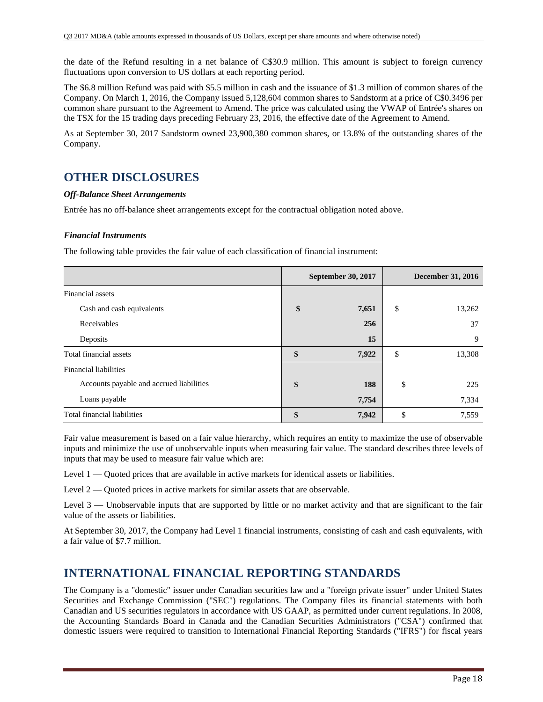the date of the Refund resulting in a net balance of C\$30.9 million. This amount is subject to foreign currency fluctuations upon conversion to US dollars at each reporting period.

The \$6.8 million Refund was paid with \$5.5 million in cash and the issuance of \$1.3 million of common shares of the Company. On March 1, 2016, the Company issued 5,128,604 common shares to Sandstorm at a price of C\$0.3496 per common share pursuant to the Agreement to Amend. The price was calculated using the VWAP of Entrée's shares on the TSX for the 15 trading days preceding February 23, 2016, the effective date of the Agreement to Amend.

As at September 30, 2017 Sandstorm owned 23,900,380 common shares, or 13.8% of the outstanding shares of the Company.

## **OTHER DISCLOSURES**

#### *Off-Balance Sheet Arrangements*

Entrée has no off-balance sheet arrangements except for the contractual obligation noted above.

#### *Financial Instruments*

The following table provides the fair value of each classification of financial instrument:

|                                          | <b>September 30, 2017</b> | <b>December 31, 2016</b> |
|------------------------------------------|---------------------------|--------------------------|
| Financial assets                         |                           |                          |
| Cash and cash equivalents                | \$<br>7,651               | \$<br>13,262             |
| Receivables                              | 256                       | 37                       |
| Deposits                                 | 15                        | 9                        |
| Total financial assets                   | \$<br>7,922               | \$<br>13,308             |
| <b>Financial liabilities</b>             |                           |                          |
| Accounts payable and accrued liabilities | \$<br>188                 | \$<br>225                |
| Loans payable                            | 7,754                     | 7,334                    |
| Total financial liabilities              | \$<br>7,942               | \$<br>7,559              |

Fair value measurement is based on a fair value hierarchy, which requires an entity to maximize the use of observable inputs and minimize the use of unobservable inputs when measuring fair value. The standard describes three levels of inputs that may be used to measure fair value which are:

Level 1 — Quoted prices that are available in active markets for identical assets or liabilities.

Level 2 — Quoted prices in active markets for similar assets that are observable.

Level 3 — Unobservable inputs that are supported by little or no market activity and that are significant to the fair value of the assets or liabilities.

At September 30, 2017, the Company had Level 1 financial instruments, consisting of cash and cash equivalents, with a fair value of \$7.7 million.

### **INTERNATIONAL FINANCIAL REPORTING STANDARDS**

The Company is a "domestic" issuer under Canadian securities law and a "foreign private issuer" under United States Securities and Exchange Commission ("SEC") regulations. The Company files its financial statements with both Canadian and US securities regulators in accordance with US GAAP, as permitted under current regulations. In 2008, the Accounting Standards Board in Canada and the Canadian Securities Administrators ("CSA") confirmed that domestic issuers were required to transition to International Financial Reporting Standards ("IFRS") for fiscal years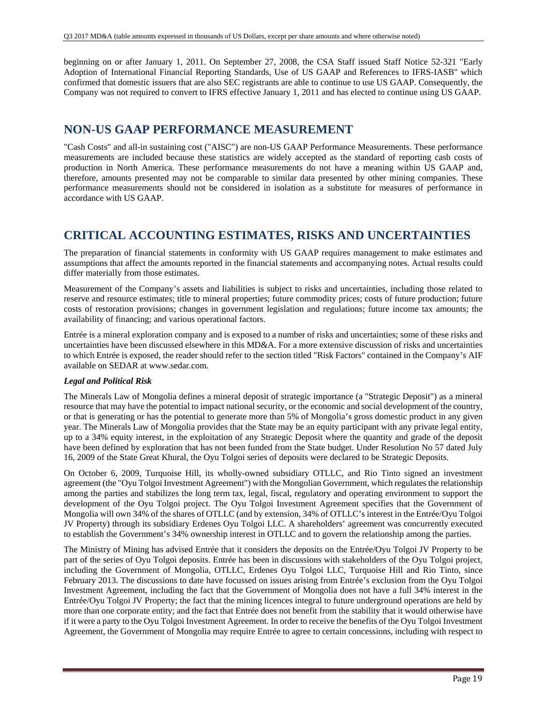beginning on or after January 1, 2011. On September 27, 2008, the CSA Staff issued Staff Notice 52-321 "Early Adoption of International Financial Reporting Standards, Use of US GAAP and References to IFRS-IASB" which confirmed that domestic issuers that are also SEC registrants are able to continue to use US GAAP. Consequently, the Company was not required to convert to IFRS effective January 1, 2011 and has elected to continue using US GAAP.

### **NON-US GAAP PERFORMANCE MEASUREMENT**

"Cash Costs" and all-in sustaining cost ("AISC") are non-US GAAP Performance Measurements. These performance measurements are included because these statistics are widely accepted as the standard of reporting cash costs of production in North America. These performance measurements do not have a meaning within US GAAP and, therefore, amounts presented may not be comparable to similar data presented by other mining companies. These performance measurements should not be considered in isolation as a substitute for measures of performance in accordance with US GAAP.

## **CRITICAL ACCOUNTING ESTIMATES, RISKS AND UNCERTAINTIES**

The preparation of financial statements in conformity with US GAAP requires management to make estimates and assumptions that affect the amounts reported in the financial statements and accompanying notes. Actual results could differ materially from those estimates.

Measurement of the Company's assets and liabilities is subject to risks and uncertainties, including those related to reserve and resource estimates; title to mineral properties; future commodity prices; costs of future production; future costs of restoration provisions; changes in government legislation and regulations; future income tax amounts; the availability of financing; and various operational factors.

Entrée is a mineral exploration company and is exposed to a number of risks and uncertainties; some of these risks and uncertainties have been discussed elsewhere in this MD&A. For a more extensive discussion of risks and uncertainties to which Entrée is exposed, the reader should refer to the section titled "Risk Factors" contained in the Company's AIF available on SEDAR at www.sedar.com.

#### *Legal and Political Risk*

The Minerals Law of Mongolia defines a mineral deposit of strategic importance (a "Strategic Deposit") as a mineral resource that may have the potential to impact national security, or the economic and social development of the country, or that is generating or has the potential to generate more than 5% of Mongolia's gross domestic product in any given year. The Minerals Law of Mongolia provides that the State may be an equity participant with any private legal entity, up to a 34% equity interest, in the exploitation of any Strategic Deposit where the quantity and grade of the deposit have been defined by exploration that has not been funded from the State budget. Under Resolution No 57 dated July 16, 2009 of the State Great Khural, the Oyu Tolgoi series of deposits were declared to be Strategic Deposits.

On October 6, 2009, Turquoise Hill, its wholly-owned subsidiary OTLLC, and Rio Tinto signed an investment agreement (the "Oyu Tolgoi Investment Agreement") with the Mongolian Government, which regulates the relationship among the parties and stabilizes the long term tax, legal, fiscal, regulatory and operating environment to support the development of the Oyu Tolgoi project. The Oyu Tolgoi Investment Agreement specifies that the Government of Mongolia will own 34% of the shares of OTLLC (and by extension, 34% of OTLLC's interest in the Entrée/Oyu Tolgoi JV Property) through its subsidiary Erdenes Oyu Tolgoi LLC. A shareholders' agreement was concurrently executed to establish the Government's 34% ownership interest in OTLLC and to govern the relationship among the parties.

The Ministry of Mining has advised Entrée that it considers the deposits on the Entrée/Oyu Tolgoi JV Property to be part of the series of Oyu Tolgoi deposits. Entrée has been in discussions with stakeholders of the Oyu Tolgoi project, including the Government of Mongolia, OTLLC, Erdenes Oyu Tolgoi LLC, Turquoise Hill and Rio Tinto, since February 2013. The discussions to date have focussed on issues arising from Entrée's exclusion from the Oyu Tolgoi Investment Agreement, including the fact that the Government of Mongolia does not have a full 34% interest in the Entrée/Oyu Tolgoi JV Property; the fact that the mining licences integral to future underground operations are held by more than one corporate entity; and the fact that Entrée does not benefit from the stability that it would otherwise have if it were a party to the Oyu Tolgoi Investment Agreement. In order to receive the benefits of the Oyu Tolgoi Investment Agreement, the Government of Mongolia may require Entrée to agree to certain concessions, including with respect to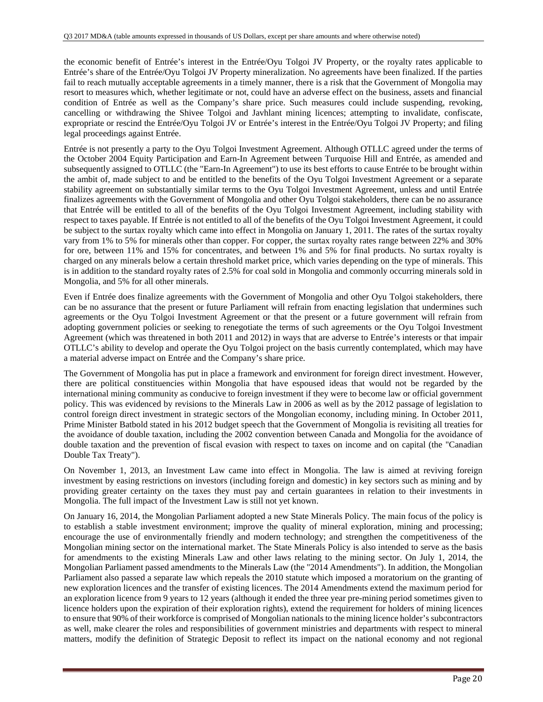the economic benefit of Entrée's interest in the Entrée/Oyu Tolgoi JV Property, or the royalty rates applicable to Entrée's share of the Entrée/Oyu Tolgoi JV Property mineralization. No agreements have been finalized. If the parties fail to reach mutually acceptable agreements in a timely manner, there is a risk that the Government of Mongolia may resort to measures which, whether legitimate or not, could have an adverse effect on the business, assets and financial condition of Entrée as well as the Company's share price. Such measures could include suspending, revoking, cancelling or withdrawing the Shivee Tolgoi and Javhlant mining licences; attempting to invalidate, confiscate, expropriate or rescind the Entrée/Oyu Tolgoi JV or Entrée's interest in the Entrée/Oyu Tolgoi JV Property; and filing legal proceedings against Entrée.

Entrée is not presently a party to the Oyu Tolgoi Investment Agreement. Although OTLLC agreed under the terms of the October 2004 Equity Participation and Earn-In Agreement between Turquoise Hill and Entrée, as amended and subsequently assigned to OTLLC (the "Earn-In Agreement") to use its best efforts to cause Entrée to be brought within the ambit of, made subject to and be entitled to the benefits of the Oyu Tolgoi Investment Agreement or a separate stability agreement on substantially similar terms to the Oyu Tolgoi Investment Agreement, unless and until Entrée finalizes agreements with the Government of Mongolia and other Oyu Tolgoi stakeholders, there can be no assurance that Entrée will be entitled to all of the benefits of the Oyu Tolgoi Investment Agreement, including stability with respect to taxes payable. If Entrée is not entitled to all of the benefits of the Oyu Tolgoi Investment Agreement, it could be subject to the surtax royalty which came into effect in Mongolia on January 1, 2011. The rates of the surtax royalty vary from 1% to 5% for minerals other than copper. For copper, the surtax royalty rates range between 22% and 30% for ore, between 11% and 15% for concentrates, and between 1% and 5% for final products. No surtax royalty is charged on any minerals below a certain threshold market price, which varies depending on the type of minerals. This is in addition to the standard royalty rates of 2.5% for coal sold in Mongolia and commonly occurring minerals sold in Mongolia, and 5% for all other minerals.

Even if Entrée does finalize agreements with the Government of Mongolia and other Oyu Tolgoi stakeholders, there can be no assurance that the present or future Parliament will refrain from enacting legislation that undermines such agreements or the Oyu Tolgoi Investment Agreement or that the present or a future government will refrain from adopting government policies or seeking to renegotiate the terms of such agreements or the Oyu Tolgoi Investment Agreement (which was threatened in both 2011 and 2012) in ways that are adverse to Entrée's interests or that impair OTLLC's ability to develop and operate the Oyu Tolgoi project on the basis currently contemplated, which may have a material adverse impact on Entrée and the Company's share price.

The Government of Mongolia has put in place a framework and environment for foreign direct investment. However, there are political constituencies within Mongolia that have espoused ideas that would not be regarded by the international mining community as conducive to foreign investment if they were to become law or official government policy. This was evidenced by revisions to the Minerals Law in 2006 as well as by the 2012 passage of legislation to control foreign direct investment in strategic sectors of the Mongolian economy, including mining. In October 2011, Prime Minister Batbold stated in his 2012 budget speech that the Government of Mongolia is revisiting all treaties for the avoidance of double taxation, including the 2002 convention between Canada and Mongolia for the avoidance of double taxation and the prevention of fiscal evasion with respect to taxes on income and on capital (the "Canadian Double Tax Treaty").

On November 1, 2013, an Investment Law came into effect in Mongolia. The law is aimed at reviving foreign investment by easing restrictions on investors (including foreign and domestic) in key sectors such as mining and by providing greater certainty on the taxes they must pay and certain guarantees in relation to their investments in Mongolia. The full impact of the Investment Law is still not yet known.

On January 16, 2014, the Mongolian Parliament adopted a new State Minerals Policy. The main focus of the policy is to establish a stable investment environment; improve the quality of mineral exploration, mining and processing; encourage the use of environmentally friendly and modern technology; and strengthen the competitiveness of the Mongolian mining sector on the international market. The State Minerals Policy is also intended to serve as the basis for amendments to the existing Minerals Law and other laws relating to the mining sector. On July 1, 2014, the Mongolian Parliament passed amendments to the Minerals Law (the "2014 Amendments"). In addition, the Mongolian Parliament also passed a separate law which repeals the 2010 statute which imposed a moratorium on the granting of new exploration licences and the transfer of existing licences. The 2014 Amendments extend the maximum period for an exploration licence from 9 years to 12 years (although it ended the three year pre-mining period sometimes given to licence holders upon the expiration of their exploration rights), extend the requirement for holders of mining licences to ensure that 90% of their workforce is comprised of Mongolian nationals to the mining licence holder's subcontractors as well, make clearer the roles and responsibilities of government ministries and departments with respect to mineral matters, modify the definition of Strategic Deposit to reflect its impact on the national economy and not regional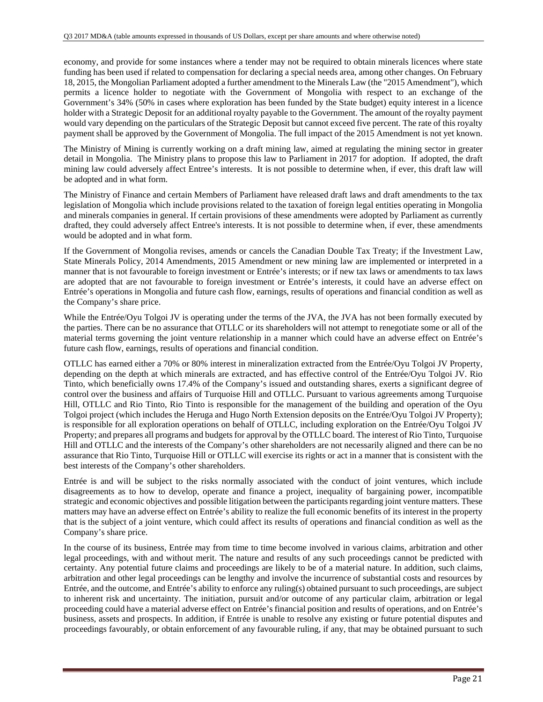economy, and provide for some instances where a tender may not be required to obtain minerals licences where state funding has been used if related to compensation for declaring a special needs area, among other changes. On February 18, 2015, the Mongolian Parliament adopted a further amendment to the Minerals Law (the "2015 Amendment"), which permits a licence holder to negotiate with the Government of Mongolia with respect to an exchange of the Government's 34% (50% in cases where exploration has been funded by the State budget) equity interest in a licence holder with a Strategic Deposit for an additional royalty payable to the Government. The amount of the royalty payment would vary depending on the particulars of the Strategic Deposit but cannot exceed five percent. The rate of this royalty payment shall be approved by the Government of Mongolia. The full impact of the 2015 Amendment is not yet known.

The Ministry of Mining is currently working on a draft mining law, aimed at regulating the mining sector in greater detail in Mongolia. The Ministry plans to propose this law to Parliament in 2017 for adoption. If adopted, the draft mining law could adversely affect Entree's interests. It is not possible to determine when, if ever, this draft law will be adopted and in what form.

The Ministry of Finance and certain Members of Parliament have released draft laws and draft amendments to the tax legislation of Mongolia which include provisions related to the taxation of foreign legal entities operating in Mongolia and minerals companies in general. If certain provisions of these amendments were adopted by Parliament as currently drafted, they could adversely affect Entree's interests. It is not possible to determine when, if ever, these amendments would be adopted and in what form.

If the Government of Mongolia revises, amends or cancels the Canadian Double Tax Treaty; if the Investment Law, State Minerals Policy, 2014 Amendments, 2015 Amendment or new mining law are implemented or interpreted in a manner that is not favourable to foreign investment or Entrée's interests; or if new tax laws or amendments to tax laws are adopted that are not favourable to foreign investment or Entrée's interests, it could have an adverse effect on Entrée's operations in Mongolia and future cash flow, earnings, results of operations and financial condition as well as the Company's share price.

While the Entrée/Oyu Tolgoi JV is operating under the terms of the JVA, the JVA has not been formally executed by the parties. There can be no assurance that OTLLC or its shareholders will not attempt to renegotiate some or all of the material terms governing the joint venture relationship in a manner which could have an adverse effect on Entrée's future cash flow, earnings, results of operations and financial condition.

OTLLC has earned either a 70% or 80% interest in mineralization extracted from the Entrée/Oyu Tolgoi JV Property, depending on the depth at which minerals are extracted, and has effective control of the Entrée/Oyu Tolgoi JV. Rio Tinto, which beneficially owns 17.4% of the Company's issued and outstanding shares, exerts a significant degree of control over the business and affairs of Turquoise Hill and OTLLC. Pursuant to various agreements among Turquoise Hill, OTLLC and Rio Tinto, Rio Tinto is responsible for the management of the building and operation of the Oyu Tolgoi project (which includes the Heruga and Hugo North Extension deposits on the Entrée/Oyu Tolgoi JV Property); is responsible for all exploration operations on behalf of OTLLC, including exploration on the Entrée/Oyu Tolgoi JV Property; and prepares all programs and budgets for approval by the OTLLC board. The interest of Rio Tinto, Turquoise Hill and OTLLC and the interests of the Company's other shareholders are not necessarily aligned and there can be no assurance that Rio Tinto, Turquoise Hill or OTLLC will exercise its rights or act in a manner that is consistent with the best interests of the Company's other shareholders.

Entrée is and will be subject to the risks normally associated with the conduct of joint ventures, which include disagreements as to how to develop, operate and finance a project, inequality of bargaining power, incompatible strategic and economic objectives and possible litigation between the participants regarding joint venture matters. These matters may have an adverse effect on Entrée's ability to realize the full economic benefits of its interest in the property that is the subject of a joint venture, which could affect its results of operations and financial condition as well as the Company's share price.

In the course of its business, Entrée may from time to time become involved in various claims, arbitration and other legal proceedings, with and without merit. The nature and results of any such proceedings cannot be predicted with certainty. Any potential future claims and proceedings are likely to be of a material nature. In addition, such claims, arbitration and other legal proceedings can be lengthy and involve the incurrence of substantial costs and resources by Entrée, and the outcome, and Entrée's ability to enforce any ruling(s) obtained pursuant to such proceedings, are subject to inherent risk and uncertainty. The initiation, pursuit and/or outcome of any particular claim, arbitration or legal proceeding could have a material adverse effect on Entrée's financial position and results of operations, and on Entrée's business, assets and prospects. In addition, if Entrée is unable to resolve any existing or future potential disputes and proceedings favourably, or obtain enforcement of any favourable ruling, if any, that may be obtained pursuant to such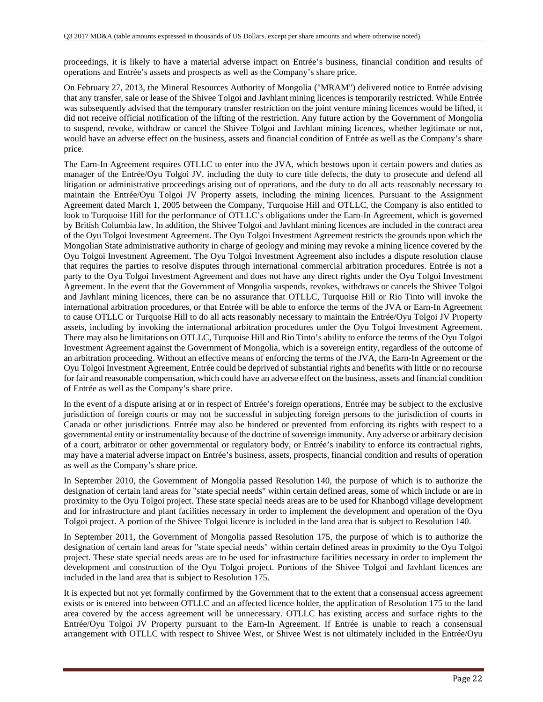proceedings, it is likely to have a material adverse impact on Entrée's business, financial condition and results of operations and Entrée's assets and prospects as well as the Company's share price.

On February 27, 2013, the Mineral Resources Authority of Mongolia ("MRAM") delivered notice to Entrée advising that any transfer, sale or lease of the Shivee Tolgoi and Javhlant mining licences is temporarily restricted. While Entrée was subsequently advised that the temporary transfer restriction on the joint venture mining licences would be lifted, it did not receive official notification of the lifting of the restriction. Any future action by the Government of Mongolia to suspend, revoke, withdraw or cancel the Shivee Tolgoi and Javhlant mining licences, whether legitimate or not, would have an adverse effect on the business, assets and financial condition of Entrée as well as the Company's share price.

The Earn-In Agreement requires OTLLC to enter into the JVA, which bestows upon it certain powers and duties as manager of the Entrée/Oyu Tolgoi JV, including the duty to cure title defects, the duty to prosecute and defend all litigation or administrative proceedings arising out of operations, and the duty to do all acts reasonably necessary to maintain the Entrée/Oyu Tolgoi JV Property assets, including the mining licences. Pursuant to the Assignment Agreement dated March 1, 2005 between the Company, Turquoise Hill and OTLLC, the Company is also entitled to look to Turquoise Hill for the performance of OTLLC's obligations under the Earn-In Agreement, which is governed by British Columbia law. In addition, the Shivee Tolgoi and Javhlant mining licences are included in the contract area of the Oyu Tolgoi Investment Agreement. The Oyu Tolgoi Investment Agreement restricts the grounds upon which the Mongolian State administrative authority in charge of geology and mining may revoke a mining licence covered by the Oyu Tolgoi Investment Agreement. The Oyu Tolgoi Investment Agreement also includes a dispute resolution clause that requires the parties to resolve disputes through international commercial arbitration procedures. Entrée is not a party to the Oyu Tolgoi Investment Agreement and does not have any direct rights under the Oyu Tolgoi Investment Agreement. In the event that the Government of Mongolia suspends, revokes, withdraws or cancels the Shivee Tolgoi and Javhlant mining licences, there can be no assurance that OTLLC, Turquoise Hill or Rio Tinto will invoke the international arbitration procedures, or that Entrée will be able to enforce the terms of the JVA or Earn-In Agreement to cause OTLLC or Turquoise Hill to do all acts reasonably necessary to maintain the Entrée/Oyu Tolgoi JV Property assets, including by invoking the international arbitration procedures under the Oyu Tolgoi Investment Agreement. There may also be limitations on OTLLC, Turquoise Hill and Rio Tinto's ability to enforce the terms of the Oyu Tolgoi Investment Agreement against the Government of Mongolia, which is a sovereign entity, regardless of the outcome of an arbitration proceeding. Without an effective means of enforcing the terms of the JVA, the Earn-In Agreement or the Oyu Tolgoi Investment Agreement, Entrée could be deprived of substantial rights and benefits with little or no recourse for fair and reasonable compensation, which could have an adverse effect on the business, assets and financial condition of Entrée as well as the Company's share price.

In the event of a dispute arising at or in respect of Entrée's foreign operations, Entrée may be subject to the exclusive jurisdiction of foreign courts or may not be successful in subjecting foreign persons to the jurisdiction of courts in Canada or other jurisdictions. Entrée may also be hindered or prevented from enforcing its rights with respect to a governmental entity or instrumentality because of the doctrine of sovereign immunity. Any adverse or arbitrary decision of a court, arbitrator or other governmental or regulatory body, or Entrée's inability to enforce its contractual rights, may have a material adverse impact on Entrée's business, assets, prospects, financial condition and results of operation as well as the Company's share price.

In September 2010, the Government of Mongolia passed Resolution 140, the purpose of which is to authorize the designation of certain land areas for "state special needs" within certain defined areas, some of which include or are in proximity to the Oyu Tolgoi project. These state special needs areas are to be used for Khanbogd village development and for infrastructure and plant facilities necessary in order to implement the development and operation of the Oyu Tolgoi project. A portion of the Shivee Tolgoi licence is included in the land area that is subject to Resolution 140.

In September 2011, the Government of Mongolia passed Resolution 175, the purpose of which is to authorize the designation of certain land areas for "state special needs" within certain defined areas in proximity to the Oyu Tolgoi project. These state special needs areas are to be used for infrastructure facilities necessary in order to implement the development and construction of the Oyu Tolgoi project. Portions of the Shivee Tolgoi and Javhlant licences are included in the land area that is subject to Resolution 175.

It is expected but not yet formally confirmed by the Government that to the extent that a consensual access agreement exists or is entered into between OTLLC and an affected licence holder, the application of Resolution 175 to the land area covered by the access agreement will be unnecessary. OTLLC has existing access and surface rights to the Entrée/Oyu Tolgoi JV Property pursuant to the Earn-In Agreement. If Entrée is unable to reach a consensual arrangement with OTLLC with respect to Shivee West, or Shivee West is not ultimately included in the Entrée/Oyu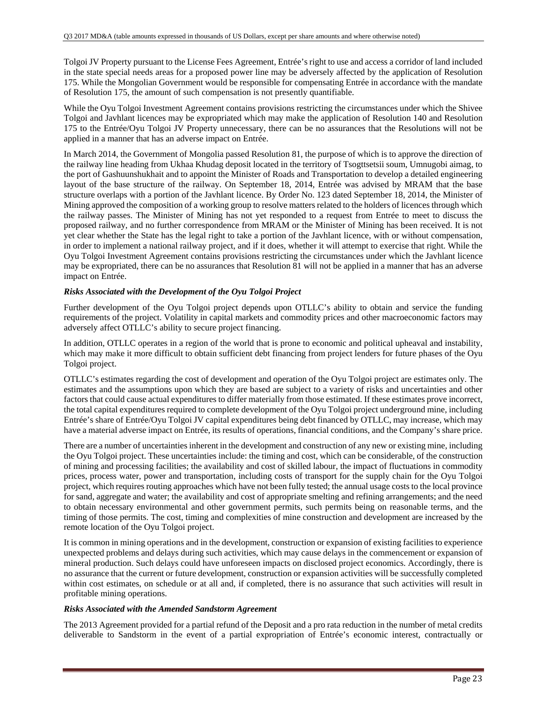Tolgoi JV Property pursuant to the License Fees Agreement, Entrée's right to use and access a corridor of land included in the state special needs areas for a proposed power line may be adversely affected by the application of Resolution 175. While the Mongolian Government would be responsible for compensating Entrée in accordance with the mandate of Resolution 175, the amount of such compensation is not presently quantifiable.

While the Oyu Tolgoi Investment Agreement contains provisions restricting the circumstances under which the Shivee Tolgoi and Javhlant licences may be expropriated which may make the application of Resolution 140 and Resolution 175 to the Entrée/Oyu Tolgoi JV Property unnecessary, there can be no assurances that the Resolutions will not be applied in a manner that has an adverse impact on Entrée.

In March 2014, the Government of Mongolia passed Resolution 81, the purpose of which is to approve the direction of the railway line heading from Ukhaa Khudag deposit located in the territory of Tsogttsetsii soum, Umnugobi aimag, to the port of Gashuunshukhait and to appoint the Minister of Roads and Transportation to develop a detailed engineering layout of the base structure of the railway. On September 18, 2014, Entrée was advised by MRAM that the base structure overlaps with a portion of the Javhlant licence. By Order No. 123 dated September 18, 2014, the Minister of Mining approved the composition of a working group to resolve matters related to the holders of licences through which the railway passes. The Minister of Mining has not yet responded to a request from Entrée to meet to discuss the proposed railway, and no further correspondence from MRAM or the Minister of Mining has been received. It is not yet clear whether the State has the legal right to take a portion of the Javhlant licence, with or without compensation, in order to implement a national railway project, and if it does, whether it will attempt to exercise that right. While the Oyu Tolgoi Investment Agreement contains provisions restricting the circumstances under which the Javhlant licence may be expropriated, there can be no assurances that Resolution 81 will not be applied in a manner that has an adverse impact on Entrée.

#### *Risks Associated with the Development of the Oyu Tolgoi Project*

Further development of the Oyu Tolgoi project depends upon OTLLC's ability to obtain and service the funding requirements of the project. Volatility in capital markets and commodity prices and other macroeconomic factors may adversely affect OTLLC's ability to secure project financing.

In addition, OTLLC operates in a region of the world that is prone to economic and political upheaval and instability, which may make it more difficult to obtain sufficient debt financing from project lenders for future phases of the Oyu Tolgoi project.

OTLLC's estimates regarding the cost of development and operation of the Oyu Tolgoi project are estimates only. The estimates and the assumptions upon which they are based are subject to a variety of risks and uncertainties and other factors that could cause actual expenditures to differ materially from those estimated. If these estimates prove incorrect, the total capital expenditures required to complete development of the Oyu Tolgoi project underground mine, including Entrée's share of Entrée/Oyu Tolgoi JV capital expenditures being debt financed by OTLLC, may increase, which may have a material adverse impact on Entrée, its results of operations, financial conditions, and the Company's share price.

There are a number of uncertainties inherent in the development and construction of any new or existing mine, including the Oyu Tolgoi project. These uncertainties include: the timing and cost, which can be considerable, of the construction of mining and processing facilities; the availability and cost of skilled labour, the impact of fluctuations in commodity prices, process water, power and transportation, including costs of transport for the supply chain for the Oyu Tolgoi project, which requires routing approaches which have not been fully tested; the annual usage costs to the local province for sand, aggregate and water; the availability and cost of appropriate smelting and refining arrangements; and the need to obtain necessary environmental and other government permits, such permits being on reasonable terms, and the timing of those permits. The cost, timing and complexities of mine construction and development are increased by the remote location of the Oyu Tolgoi project.

It is common in mining operations and in the development, construction or expansion of existing facilities to experience unexpected problems and delays during such activities, which may cause delays in the commencement or expansion of mineral production. Such delays could have unforeseen impacts on disclosed project economics. Accordingly, there is no assurance that the current or future development, construction or expansion activities will be successfully completed within cost estimates, on schedule or at all and, if completed, there is no assurance that such activities will result in profitable mining operations.

#### *Risks Associated with the Amended Sandstorm Agreement*

The 2013 Agreement provided for a partial refund of the Deposit and a pro rata reduction in the number of metal credits deliverable to Sandstorm in the event of a partial expropriation of Entrée's economic interest, contractually or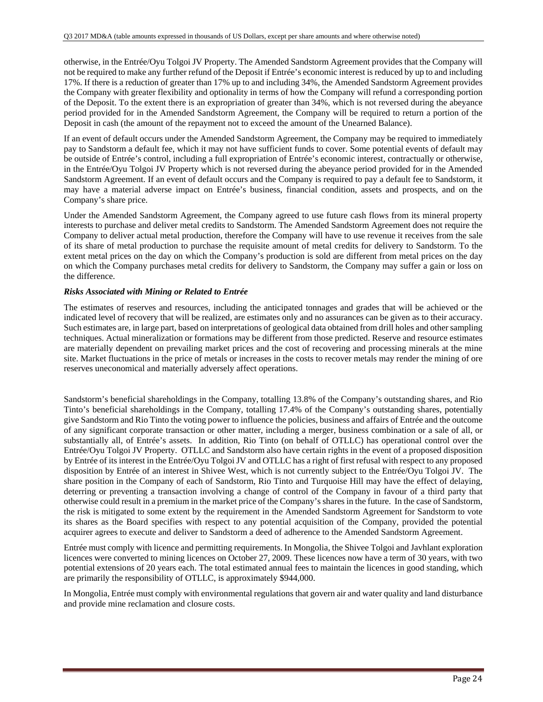otherwise, in the Entrée/Oyu Tolgoi JV Property. The Amended Sandstorm Agreement provides that the Company will not be required to make any further refund of the Deposit if Entrée's economic interest is reduced by up to and including 17%. If there is a reduction of greater than 17% up to and including 34%, the Amended Sandstorm Agreement provides the Company with greater flexibility and optionality in terms of how the Company will refund a corresponding portion of the Deposit. To the extent there is an expropriation of greater than 34%, which is not reversed during the abeyance period provided for in the Amended Sandstorm Agreement, the Company will be required to return a portion of the Deposit in cash (the amount of the repayment not to exceed the amount of the Unearned Balance).

If an event of default occurs under the Amended Sandstorm Agreement, the Company may be required to immediately pay to Sandstorm a default fee, which it may not have sufficient funds to cover. Some potential events of default may be outside of Entrée's control, including a full expropriation of Entrée's economic interest, contractually or otherwise, in the Entrée/Oyu Tolgoi JV Property which is not reversed during the abeyance period provided for in the Amended Sandstorm Agreement. If an event of default occurs and the Company is required to pay a default fee to Sandstorm, it may have a material adverse impact on Entrée's business, financial condition, assets and prospects, and on the Company's share price.

Under the Amended Sandstorm Agreement, the Company agreed to use future cash flows from its mineral property interests to purchase and deliver metal credits to Sandstorm. The Amended Sandstorm Agreement does not require the Company to deliver actual metal production, therefore the Company will have to use revenue it receives from the sale of its share of metal production to purchase the requisite amount of metal credits for delivery to Sandstorm. To the extent metal prices on the day on which the Company's production is sold are different from metal prices on the day on which the Company purchases metal credits for delivery to Sandstorm, the Company may suffer a gain or loss on the difference.

#### *Risks Associated with Mining or Related to Entrée*

The estimates of reserves and resources, including the anticipated tonnages and grades that will be achieved or the indicated level of recovery that will be realized, are estimates only and no assurances can be given as to their accuracy. Such estimates are, in large part, based on interpretations of geological data obtained from drill holes and other sampling techniques. Actual mineralization or formations may be different from those predicted. Reserve and resource estimates are materially dependent on prevailing market prices and the cost of recovering and processing minerals at the mine site. Market fluctuations in the price of metals or increases in the costs to recover metals may render the mining of ore reserves uneconomical and materially adversely affect operations.

Sandstorm's beneficial shareholdings in the Company, totalling 13.8% of the Company's outstanding shares, and Rio Tinto's beneficial shareholdings in the Company, totalling 17.4% of the Company's outstanding shares, potentially give Sandstorm and Rio Tinto the voting power to influence the policies, business and affairs of Entrée and the outcome of any significant corporate transaction or other matter, including a merger, business combination or a sale of all, or substantially all, of Entrée's assets. In addition, Rio Tinto (on behalf of OTLLC) has operational control over the Entrée/Oyu Tolgoi JV Property. OTLLC and Sandstorm also have certain rights in the event of a proposed disposition by Entrée of its interest in the Entrée/Oyu Tolgoi JV and OTLLC has a right of first refusal with respect to any proposed disposition by Entrée of an interest in Shivee West, which is not currently subject to the Entrée/Oyu Tolgoi JV. The share position in the Company of each of Sandstorm, Rio Tinto and Turquoise Hill may have the effect of delaying, deterring or preventing a transaction involving a change of control of the Company in favour of a third party that otherwise could result in a premium in the market price of the Company's shares in the future. In the case of Sandstorm, the risk is mitigated to some extent by the requirement in the Amended Sandstorm Agreement for Sandstorm to vote its shares as the Board specifies with respect to any potential acquisition of the Company, provided the potential acquirer agrees to execute and deliver to Sandstorm a deed of adherence to the Amended Sandstorm Agreement.

Entrée must comply with licence and permitting requirements. In Mongolia, the Shivee Tolgoi and Javhlant exploration licences were converted to mining licences on October 27, 2009. These licences now have a term of 30 years, with two potential extensions of 20 years each. The total estimated annual fees to maintain the licences in good standing, which are primarily the responsibility of OTLLC, is approximately \$944,000.

In Mongolia, Entrée must comply with environmental regulations that govern air and water quality and land disturbance and provide mine reclamation and closure costs.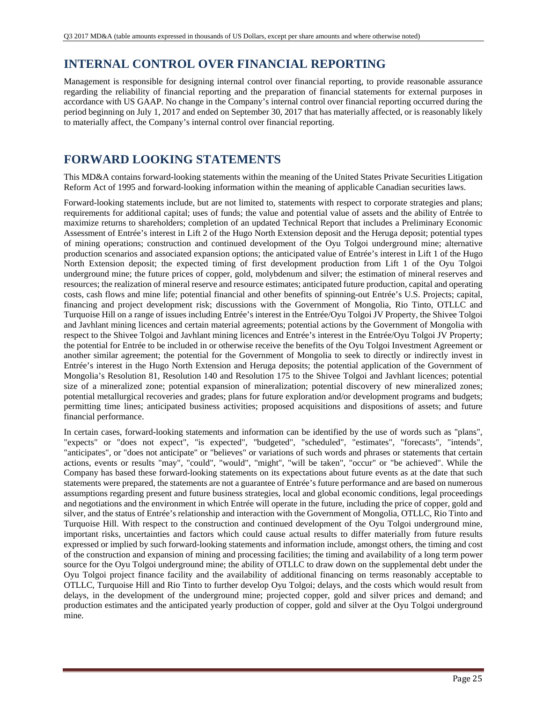### **INTERNAL CONTROL OVER FINANCIAL REPORTING**

Management is responsible for designing internal control over financial reporting, to provide reasonable assurance regarding the reliability of financial reporting and the preparation of financial statements for external purposes in accordance with US GAAP. No change in the Company's internal control over financial reporting occurred during the period beginning on July 1, 2017 and ended on September 30, 2017 that has materially affected, or is reasonably likely to materially affect, the Company's internal control over financial reporting.

### **FORWARD LOOKING STATEMENTS**

This MD&A contains forward-looking statements within the meaning of the United States Private Securities Litigation Reform Act of 1995 and forward-looking information within the meaning of applicable Canadian securities laws.

Forward-looking statements include, but are not limited to, statements with respect to corporate strategies and plans; requirements for additional capital; uses of funds; the value and potential value of assets and the ability of Entrée to maximize returns to shareholders; completion of an updated Technical Report that includes a Preliminary Economic Assessment of Entrée's interest in Lift 2 of the Hugo North Extension deposit and the Heruga deposit; potential types of mining operations; construction and continued development of the Oyu Tolgoi underground mine; alternative production scenarios and associated expansion options; the anticipated value of Entrée's interest in Lift 1 of the Hugo North Extension deposit; the expected timing of first development production from Lift 1 of the Oyu Tolgoi underground mine; the future prices of copper, gold, molybdenum and silver; the estimation of mineral reserves and resources; the realization of mineral reserve and resource estimates; anticipated future production, capital and operating costs, cash flows and mine life; potential financial and other benefits of spinning-out Entrée's U.S. Projects; capital, financing and project development risk; discussions with the Government of Mongolia, Rio Tinto, OTLLC and Turquoise Hill on a range of issues including Entrée's interest in the Entrée/Oyu Tolgoi JV Property, the Shivee Tolgoi and Javhlant mining licences and certain material agreements; potential actions by the Government of Mongolia with respect to the Shivee Tolgoi and Javhlant mining licences and Entrée's interest in the Entrée/Oyu Tolgoi JV Property; the potential for Entrée to be included in or otherwise receive the benefits of the Oyu Tolgoi Investment Agreement or another similar agreement; the potential for the Government of Mongolia to seek to directly or indirectly invest in Entrée's interest in the Hugo North Extension and Heruga deposits; the potential application of the Government of Mongolia's Resolution 81, Resolution 140 and Resolution 175 to the Shivee Tolgoi and Javhlant licences; potential size of a mineralized zone; potential expansion of mineralization; potential discovery of new mineralized zones; potential metallurgical recoveries and grades; plans for future exploration and/or development programs and budgets; permitting time lines; anticipated business activities; proposed acquisitions and dispositions of assets; and future financial performance.

In certain cases, forward-looking statements and information can be identified by the use of words such as "plans", "expects" or "does not expect", "is expected", "budgeted", "scheduled", "estimates", "forecasts", "intends", "anticipates", or "does not anticipate" or "believes" or variations of such words and phrases or statements that certain actions, events or results "may", "could", "would", "might", "will be taken", "occur" or "be achieved". While the Company has based these forward-looking statements on its expectations about future events as at the date that such statements were prepared, the statements are not a guarantee of Entrée's future performance and are based on numerous assumptions regarding present and future business strategies, local and global economic conditions, legal proceedings and negotiations and the environment in which Entrée will operate in the future, including the price of copper, gold and silver, and the status of Entrée's relationship and interaction with the Government of Mongolia, OTLLC, Rio Tinto and Turquoise Hill. With respect to the construction and continued development of the Oyu Tolgoi underground mine, important risks, uncertainties and factors which could cause actual results to differ materially from future results expressed or implied by such forward-looking statements and information include, amongst others, the timing and cost of the construction and expansion of mining and processing facilities; the timing and availability of a long term power source for the Oyu Tolgoi underground mine; the ability of OTLLC to draw down on the supplemental debt under the Oyu Tolgoi project finance facility and the availability of additional financing on terms reasonably acceptable to OTLLC, Turquoise Hill and Rio Tinto to further develop Oyu Tolgoi; delays, and the costs which would result from delays, in the development of the underground mine; projected copper, gold and silver prices and demand; and production estimates and the anticipated yearly production of copper, gold and silver at the Oyu Tolgoi underground mine.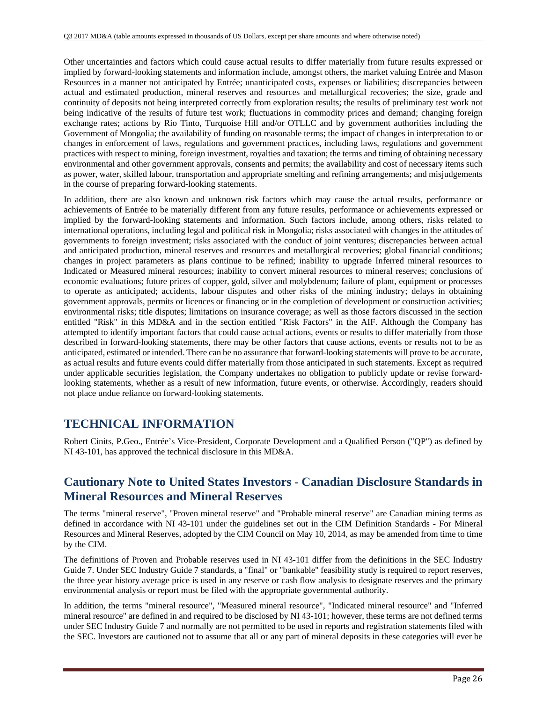Other uncertainties and factors which could cause actual results to differ materially from future results expressed or implied by forward-looking statements and information include, amongst others, the market valuing Entrée and Mason Resources in a manner not anticipated by Entrée; unanticipated costs, expenses or liabilities; discrepancies between actual and estimated production, mineral reserves and resources and metallurgical recoveries; the size, grade and continuity of deposits not being interpreted correctly from exploration results; the results of preliminary test work not being indicative of the results of future test work; fluctuations in commodity prices and demand; changing foreign exchange rates; actions by Rio Tinto, Turquoise Hill and/or OTLLC and by government authorities including the Government of Mongolia; the availability of funding on reasonable terms; the impact of changes in interpretation to or changes in enforcement of laws, regulations and government practices, including laws, regulations and government practices with respect to mining, foreign investment, royalties and taxation; the terms and timing of obtaining necessary environmental and other government approvals, consents and permits; the availability and cost of necessary items such as power, water, skilled labour, transportation and appropriate smelting and refining arrangements; and misjudgements in the course of preparing forward-looking statements.

In addition, there are also known and unknown risk factors which may cause the actual results, performance or achievements of Entrée to be materially different from any future results, performance or achievements expressed or implied by the forward-looking statements and information. Such factors include, among others, risks related to international operations, including legal and political risk in Mongolia; risks associated with changes in the attitudes of governments to foreign investment; risks associated with the conduct of joint ventures; discrepancies between actual and anticipated production, mineral reserves and resources and metallurgical recoveries; global financial conditions; changes in project parameters as plans continue to be refined; inability to upgrade Inferred mineral resources to Indicated or Measured mineral resources; inability to convert mineral resources to mineral reserves; conclusions of economic evaluations; future prices of copper, gold, silver and molybdenum; failure of plant, equipment or processes to operate as anticipated; accidents, labour disputes and other risks of the mining industry; delays in obtaining government approvals, permits or licences or financing or in the completion of development or construction activities; environmental risks; title disputes; limitations on insurance coverage; as well as those factors discussed in the section entitled "Risk" in this MD&A and in the section entitled "Risk Factors" in the AIF. Although the Company has attempted to identify important factors that could cause actual actions, events or results to differ materially from those described in forward-looking statements, there may be other factors that cause actions, events or results not to be as anticipated, estimated or intended. There can be no assurance that forward-looking statements will prove to be accurate, as actual results and future events could differ materially from those anticipated in such statements. Except as required under applicable securities legislation, the Company undertakes no obligation to publicly update or revise forwardlooking statements, whether as a result of new information, future events, or otherwise. Accordingly, readers should not place undue reliance on forward-looking statements.

### **TECHNICAL INFORMATION**

Robert Cinits, P.Geo., Entrée's Vice-President, Corporate Development and a Qualified Person ("QP") as defined by NI 43-101, has approved the technical disclosure in this MD&A.

### **Cautionary Note to United States Investors - Canadian Disclosure Standards in Mineral Resources and Mineral Reserves**

The terms "mineral reserve", "Proven mineral reserve" and "Probable mineral reserve" are Canadian mining terms as defined in accordance with NI 43-101 under the guidelines set out in the CIM Definition Standards - For Mineral Resources and Mineral Reserves, adopted by the CIM Council on May 10, 2014, as may be amended from time to time by the CIM.

The definitions of Proven and Probable reserves used in NI 43-101 differ from the definitions in the SEC Industry Guide 7. Under SEC Industry Guide 7 standards, a "final" or "bankable" feasibility study is required to report reserves, the three year history average price is used in any reserve or cash flow analysis to designate reserves and the primary environmental analysis or report must be filed with the appropriate governmental authority.

In addition, the terms "mineral resource", "Measured mineral resource", "Indicated mineral resource" and "Inferred mineral resource" are defined in and required to be disclosed by NI 43-101; however, these terms are not defined terms under SEC Industry Guide 7 and normally are not permitted to be used in reports and registration statements filed with the SEC. Investors are cautioned not to assume that all or any part of mineral deposits in these categories will ever be